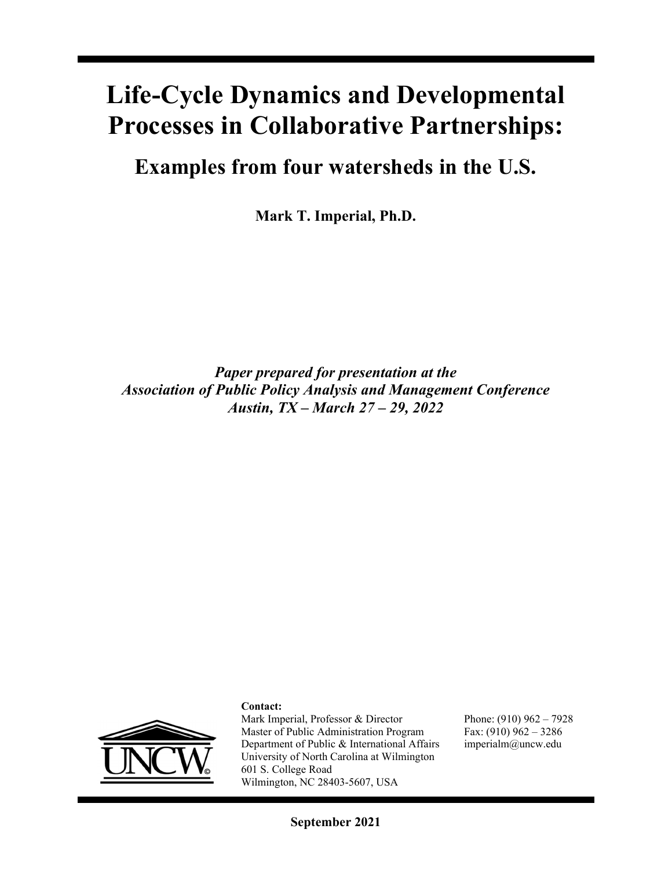# **Life-Cycle Dynamics and Developmental Processes in Collaborative Partnerships:**

**Examples from four watersheds in the U.S.** 

**Mark T. Imperial, Ph.D.** 

*Paper prepared for presentation at the Association of Public Policy Analysis and Management Conference Austin, TX – March 27 – 29, 2022* 



#### **Contact:**

Mark Imperial, Professor & Director Master of Public Administration Program Department of Public & International Affairs University of North Carolina at Wilmington 601 S. College Road Wilmington, NC 28403-5607, USA

Phone: (910) 962 – 7928 Fax: (910) 962 – 3286 imperialm@uncw.edu

**September 2021**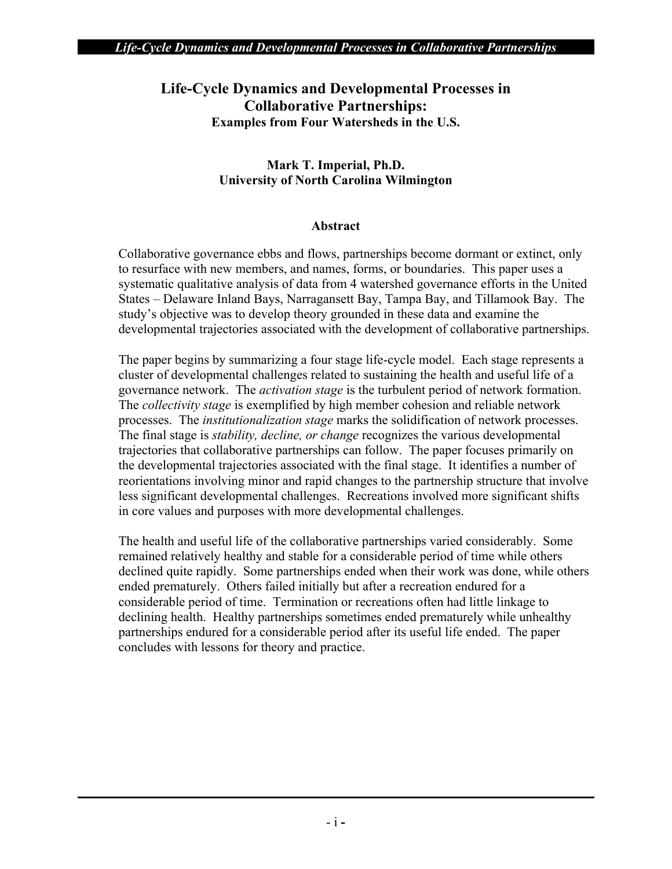## **Life-Cycle Dynamics and Developmental Processes in Collaborative Partnerships: Examples from Four Watersheds in the U.S.**

#### **Mark T. Imperial, Ph.D. University of North Carolina Wilmington**

#### **Abstract**

Collaborative governance ebbs and flows, partnerships become dormant or extinct, only to resurface with new members, and names, forms, or boundaries. This paper uses a systematic qualitative analysis of data from 4 watershed governance efforts in the United States – Delaware Inland Bays, Narragansett Bay, Tampa Bay, and Tillamook Bay. The study's objective was to develop theory grounded in these data and examine the developmental trajectories associated with the development of collaborative partnerships.

The paper begins by summarizing a four stage life-cycle model. Each stage represents a cluster of developmental challenges related to sustaining the health and useful life of a governance network. The *activation stage* is the turbulent period of network formation. The *collectivity stage* is exemplified by high member cohesion and reliable network processes. The *institutionalization stage* marks the solidification of network processes. The final stage is *stability, decline, or change* recognizes the various developmental trajectories that collaborative partnerships can follow. The paper focuses primarily on the developmental trajectories associated with the final stage. It identifies a number of reorientations involving minor and rapid changes to the partnership structure that involve less significant developmental challenges. Recreations involved more significant shifts in core values and purposes with more developmental challenges.

The health and useful life of the collaborative partnerships varied considerably. Some remained relatively healthy and stable for a considerable period of time while others declined quite rapidly. Some partnerships ended when their work was done, while others ended prematurely. Others failed initially but after a recreation endured for a considerable period of time. Termination or recreations often had little linkage to declining health. Healthy partnerships sometimes ended prematurely while unhealthy partnerships endured for a considerable period after its useful life ended. The paper concludes with lessons for theory and practice.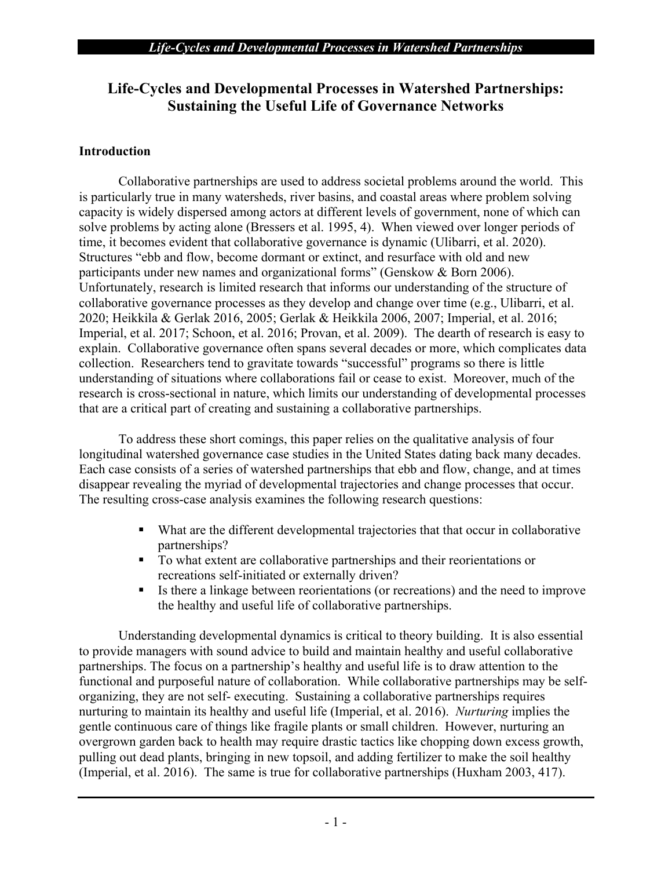# **Life-Cycles and Developmental Processes in Watershed Partnerships: Sustaining the Useful Life of Governance Networks**

## **Introduction**

Collaborative partnerships are used to address societal problems around the world. This is particularly true in many watersheds, river basins, and coastal areas where problem solving capacity is widely dispersed among actors at different levels of government, none of which can solve problems by acting alone (Bressers et al. 1995, 4). When viewed over longer periods of time, it becomes evident that collaborative governance is dynamic (Ulibarri, et al. 2020). Structures "ebb and flow, become dormant or extinct, and resurface with old and new participants under new names and organizational forms" (Genskow & Born 2006). Unfortunately, research is limited research that informs our understanding of the structure of collaborative governance processes as they develop and change over time (e.g., Ulibarri, et al. 2020; Heikkila & Gerlak 2016, 2005; Gerlak & Heikkila 2006, 2007; Imperial, et al. 2016; Imperial, et al. 2017; Schoon, et al. 2016; Provan, et al. 2009). The dearth of research is easy to explain. Collaborative governance often spans several decades or more, which complicates data collection. Researchers tend to gravitate towards "successful" programs so there is little understanding of situations where collaborations fail or cease to exist. Moreover, much of the research is cross-sectional in nature, which limits our understanding of developmental processes that are a critical part of creating and sustaining a collaborative partnerships.

To address these short comings, this paper relies on the qualitative analysis of four longitudinal watershed governance case studies in the United States dating back many decades. Each case consists of a series of watershed partnerships that ebb and flow, change, and at times disappear revealing the myriad of developmental trajectories and change processes that occur. The resulting cross-case analysis examines the following research questions:

- What are the different developmental trajectories that that occur in collaborative partnerships?
- To what extent are collaborative partnerships and their reorientations or recreations self-initiated or externally driven?
- Is there a linkage between reorientations (or recreations) and the need to improve the healthy and useful life of collaborative partnerships.

Understanding developmental dynamics is critical to theory building. It is also essential to provide managers with sound advice to build and maintain healthy and useful collaborative partnerships. The focus on a partnership's healthy and useful life is to draw attention to the functional and purposeful nature of collaboration. While collaborative partnerships may be selforganizing, they are not self- executing. Sustaining a collaborative partnerships requires nurturing to maintain its healthy and useful life (Imperial, et al. 2016). *Nurturing* implies the gentle continuous care of things like fragile plants or small children. However, nurturing an overgrown garden back to health may require drastic tactics like chopping down excess growth, pulling out dead plants, bringing in new topsoil, and adding fertilizer to make the soil healthy (Imperial, et al. 2016). The same is true for collaborative partnerships (Huxham 2003, 417).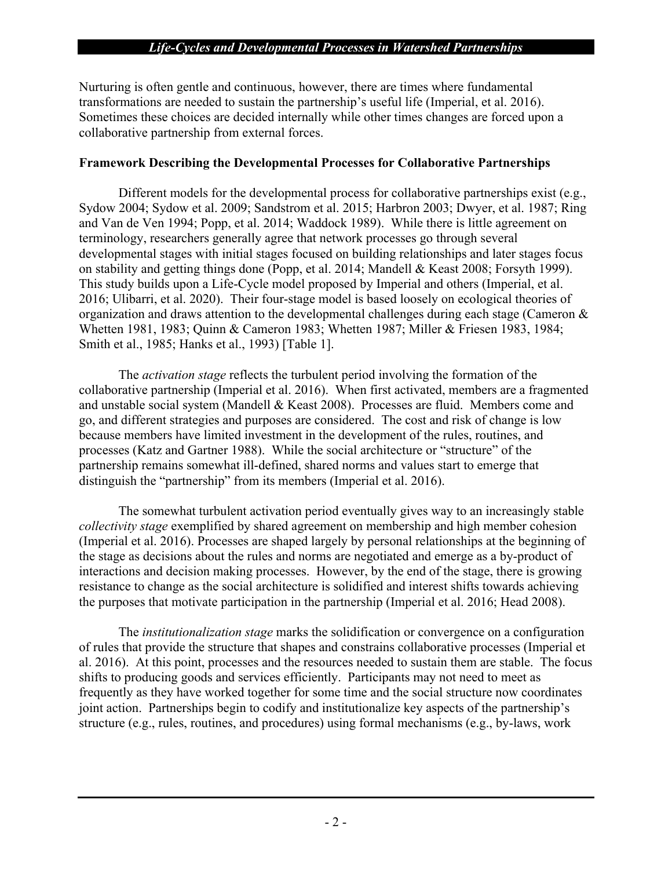Nurturing is often gentle and continuous, however, there are times where fundamental transformations are needed to sustain the partnership's useful life (Imperial, et al. 2016). Sometimes these choices are decided internally while other times changes are forced upon a collaborative partnership from external forces.

#### **Framework Describing the Developmental Processes for Collaborative Partnerships**

Different models for the developmental process for collaborative partnerships exist (e.g., Sydow 2004; Sydow et al. 2009; Sandstrom et al. 2015; Harbron 2003; Dwyer, et al. 1987; Ring and Van de Ven 1994; Popp, et al. 2014; Waddock 1989). While there is little agreement on terminology, researchers generally agree that network processes go through several developmental stages with initial stages focused on building relationships and later stages focus on stability and getting things done (Popp, et al. 2014; Mandell & Keast 2008; Forsyth 1999). This study builds upon a Life-Cycle model proposed by Imperial and others (Imperial, et al. 2016; Ulibarri, et al. 2020). Their four-stage model is based loosely on ecological theories of organization and draws attention to the developmental challenges during each stage (Cameron & Whetten 1981, 1983; Quinn & Cameron 1983; Whetten 1987; Miller & Friesen 1983, 1984; Smith et al., 1985; Hanks et al., 1993) [Table 1].

The *activation stage* reflects the turbulent period involving the formation of the collaborative partnership (Imperial et al. 2016). When first activated, members are a fragmented and unstable social system (Mandell & Keast 2008). Processes are fluid. Members come and go, and different strategies and purposes are considered. The cost and risk of change is low because members have limited investment in the development of the rules, routines, and processes (Katz and Gartner 1988). While the social architecture or "structure" of the partnership remains somewhat ill-defined, shared norms and values start to emerge that distinguish the "partnership" from its members (Imperial et al. 2016).

The somewhat turbulent activation period eventually gives way to an increasingly stable *collectivity stage* exemplified by shared agreement on membership and high member cohesion (Imperial et al. 2016). Processes are shaped largely by personal relationships at the beginning of the stage as decisions about the rules and norms are negotiated and emerge as a by-product of interactions and decision making processes. However, by the end of the stage, there is growing resistance to change as the social architecture is solidified and interest shifts towards achieving the purposes that motivate participation in the partnership (Imperial et al. 2016; Head 2008).

The *institutionalization stage* marks the solidification or convergence on a configuration of rules that provide the structure that shapes and constrains collaborative processes (Imperial et al. 2016). At this point, processes and the resources needed to sustain them are stable. The focus shifts to producing goods and services efficiently. Participants may not need to meet as frequently as they have worked together for some time and the social structure now coordinates joint action. Partnerships begin to codify and institutionalize key aspects of the partnership's structure (e.g., rules, routines, and procedures) using formal mechanisms (e.g., by-laws, work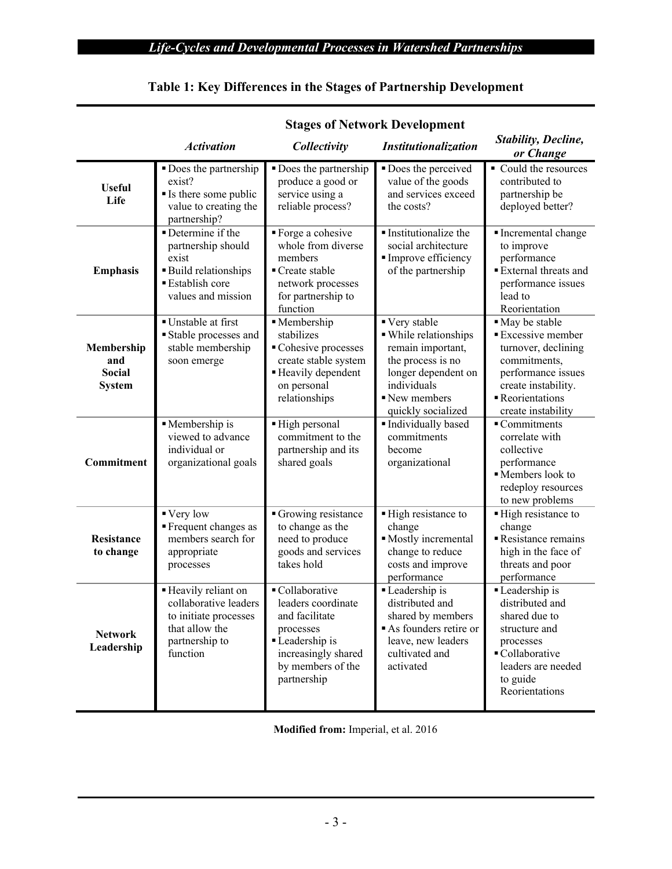|                                                     | <b>Stages of Network Development</b>                                                                                         |                                                                                                                                                  |                                                                                                                                                             |                                                                                                                                                                        |  |  |
|-----------------------------------------------------|------------------------------------------------------------------------------------------------------------------------------|--------------------------------------------------------------------------------------------------------------------------------------------------|-------------------------------------------------------------------------------------------------------------------------------------------------------------|------------------------------------------------------------------------------------------------------------------------------------------------------------------------|--|--|
|                                                     | <b>Activation</b>                                                                                                            | Collectivity                                                                                                                                     | <b>Institutionalization</b>                                                                                                                                 | <b>Stability, Decline,</b><br>or Change                                                                                                                                |  |  |
| <b>Useful</b><br>Life                               | • Does the partnership<br>exist?<br>Is there some public<br>value to creating the<br>partnership?                            | • Does the partnership<br>produce a good or<br>service using a<br>reliable process?                                                              | Does the perceived<br>value of the goods<br>and services exceed<br>the costs?                                                                               | • Could the resources<br>contributed to<br>partnership be<br>deployed better?                                                                                          |  |  |
| <b>Emphasis</b>                                     | Determine if the<br>partnership should<br>exist<br><b>Build relationships</b><br><b>Establish core</b><br>values and mission | ■ Forge a cohesive<br>whole from diverse<br>members<br>■ Create stable<br>network processes<br>for partnership to<br>function                    | Institutionalize the<br>social architecture<br>Improve efficiency<br>of the partnership                                                                     | Incremental change<br>to improve<br>performance<br>External threats and<br>performance issues<br>lead to<br>Reorientation                                              |  |  |
| Membership<br>and<br><b>Social</b><br><b>System</b> | ■ Unstable at first<br>Stable processes and<br>stable membership<br>soon emerge                                              | · Membership<br>stabilizes<br>Cohesive processes<br>create stable system<br>Heavily dependent<br>on personal<br>relationships                    | ■ Very stable<br>· While relationships<br>remain important,<br>the process is no<br>longer dependent on<br>individuals<br>New members<br>quickly socialized | • May be stable<br><b>Excessive member</b><br>turnover, declining<br>commitments,<br>performance issues<br>create instability.<br>Reorientations<br>create instability |  |  |
| Commitment                                          | Membership is<br>viewed to advance<br>individual or<br>organizational goals                                                  | High personal<br>commitment to the<br>partnership and its<br>shared goals                                                                        | Individually based<br>commitments<br>become<br>organizational                                                                                               | $\overline{\phantom{a}}$ Commitments<br>correlate with<br>collective<br>performance<br>Members look to<br>redeploy resources<br>to new problems                        |  |  |
| Resistance<br>to change                             | ■ Very low<br>Frequent changes as<br>members search for<br>appropriate<br>processes                                          | Growing resistance<br>to change as the<br>need to produce<br>goods and services<br>takes hold                                                    | High resistance to<br>change<br>Mostly incremental<br>change to reduce<br>costs and improve<br>performance                                                  | ■ High resistance to<br>change<br>Resistance remains<br>high in the face of<br>threats and poor<br>performance                                                         |  |  |
| <b>Network</b><br>Leadership                        | Heavily reliant on<br>collaborative leaders<br>to initiate processes<br>that allow the<br>partnership to<br>function         | ■ Collaborative<br>leaders coordinate<br>and facilitate<br>processes<br>Leadership is<br>increasingly shared<br>by members of the<br>partnership | Leadership is<br>distributed and<br>shared by members<br>As founders retire or<br>leave, new leaders<br>cultivated and<br>activated                         | Leadership is<br>distributed and<br>shared due to<br>structure and<br>processes<br>■ Collaborative<br>leaders are needed<br>to guide<br>Reorientations                 |  |  |

# **Table 1: Key Differences in the Stages of Partnership Development**

**Modified from:** Imperial, et al. 2016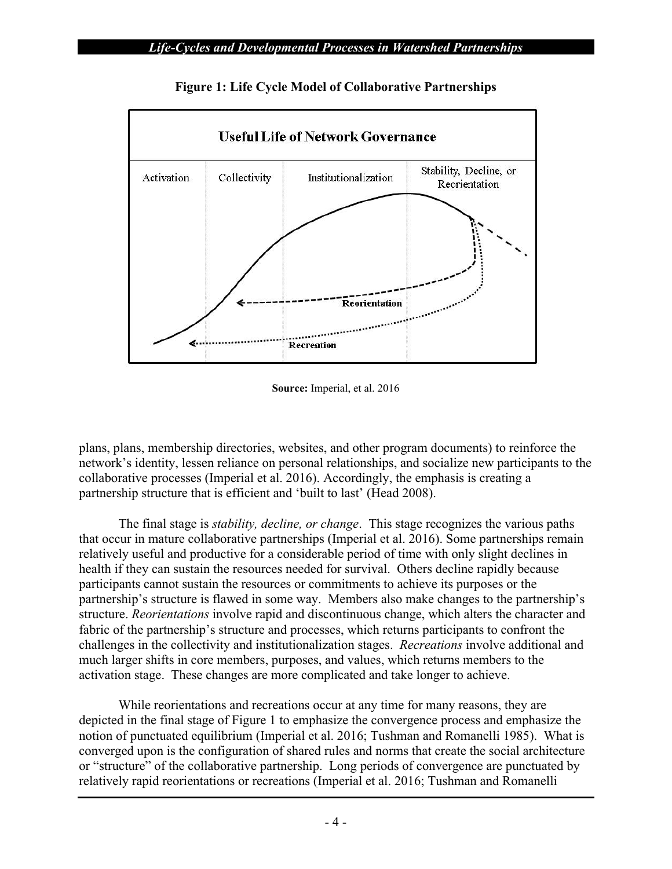

**Figure 1: Life Cycle Model of Collaborative Partnerships** 

**Source:** Imperial, et al. 2016

plans, plans, membership directories, websites, and other program documents) to reinforce the network's identity, lessen reliance on personal relationships, and socialize new participants to the collaborative processes (Imperial et al. 2016). Accordingly, the emphasis is creating a partnership structure that is efficient and 'built to last' (Head 2008).

The final stage is *stability, decline, or change*. This stage recognizes the various paths that occur in mature collaborative partnerships (Imperial et al. 2016). Some partnerships remain relatively useful and productive for a considerable period of time with only slight declines in health if they can sustain the resources needed for survival. Others decline rapidly because participants cannot sustain the resources or commitments to achieve its purposes or the partnership's structure is flawed in some way. Members also make changes to the partnership's structure. *Reorientations* involve rapid and discontinuous change, which alters the character and fabric of the partnership's structure and processes, which returns participants to confront the challenges in the collectivity and institutionalization stages. *Recreations* involve additional and much larger shifts in core members, purposes, and values, which returns members to the activation stage. These changes are more complicated and take longer to achieve.

While reorientations and recreations occur at any time for many reasons, they are depicted in the final stage of Figure 1 to emphasize the convergence process and emphasize the notion of punctuated equilibrium (Imperial et al. 2016; Tushman and Romanelli 1985). What is converged upon is the configuration of shared rules and norms that create the social architecture or "structure" of the collaborative partnership. Long periods of convergence are punctuated by relatively rapid reorientations or recreations (Imperial et al. 2016; Tushman and Romanelli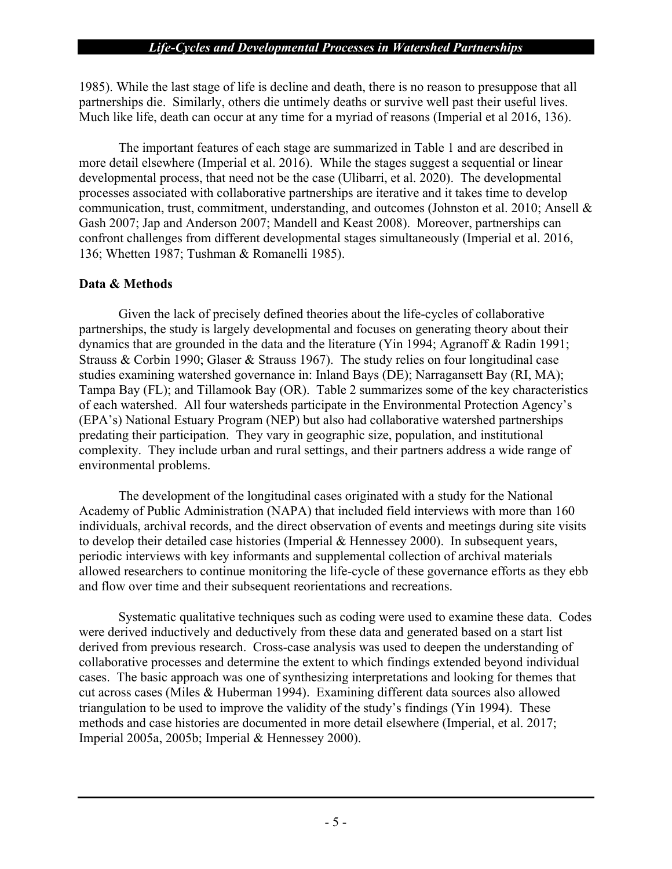1985). While the last stage of life is decline and death, there is no reason to presuppose that all partnerships die. Similarly, others die untimely deaths or survive well past their useful lives. Much like life, death can occur at any time for a myriad of reasons (Imperial et al 2016, 136).

The important features of each stage are summarized in Table 1 and are described in more detail elsewhere (Imperial et al. 2016). While the stages suggest a sequential or linear developmental process, that need not be the case (Ulibarri, et al. 2020). The developmental processes associated with collaborative partnerships are iterative and it takes time to develop communication, trust, commitment, understanding, and outcomes (Johnston et al. 2010; Ansell & Gash 2007; Jap and Anderson 2007; Mandell and Keast 2008). Moreover, partnerships can confront challenges from different developmental stages simultaneously (Imperial et al. 2016, 136; Whetten 1987; Tushman & Romanelli 1985).

## **Data & Methods**

Given the lack of precisely defined theories about the life-cycles of collaborative partnerships, the study is largely developmental and focuses on generating theory about their dynamics that are grounded in the data and the literature (Yin 1994; Agranoff & Radin 1991; Strauss & Corbin 1990; Glaser & Strauss 1967). The study relies on four longitudinal case studies examining watershed governance in: Inland Bays (DE); Narragansett Bay (RI, MA); Tampa Bay (FL); and Tillamook Bay (OR). Table 2 summarizes some of the key characteristics of each watershed. All four watersheds participate in the Environmental Protection Agency's (EPA's) National Estuary Program (NEP) but also had collaborative watershed partnerships predating their participation. They vary in geographic size, population, and institutional complexity. They include urban and rural settings, and their partners address a wide range of environmental problems.

The development of the longitudinal cases originated with a study for the National Academy of Public Administration (NAPA) that included field interviews with more than 160 individuals, archival records, and the direct observation of events and meetings during site visits to develop their detailed case histories (Imperial & Hennessey 2000). In subsequent years, periodic interviews with key informants and supplemental collection of archival materials allowed researchers to continue monitoring the life-cycle of these governance efforts as they ebb and flow over time and their subsequent reorientations and recreations.

Systematic qualitative techniques such as coding were used to examine these data. Codes were derived inductively and deductively from these data and generated based on a start list derived from previous research. Cross-case analysis was used to deepen the understanding of collaborative processes and determine the extent to which findings extended beyond individual cases. The basic approach was one of synthesizing interpretations and looking for themes that cut across cases (Miles & Huberman 1994). Examining different data sources also allowed triangulation to be used to improve the validity of the study's findings (Yin 1994). These methods and case histories are documented in more detail elsewhere (Imperial, et al. 2017; Imperial 2005a, 2005b; Imperial & Hennessey 2000).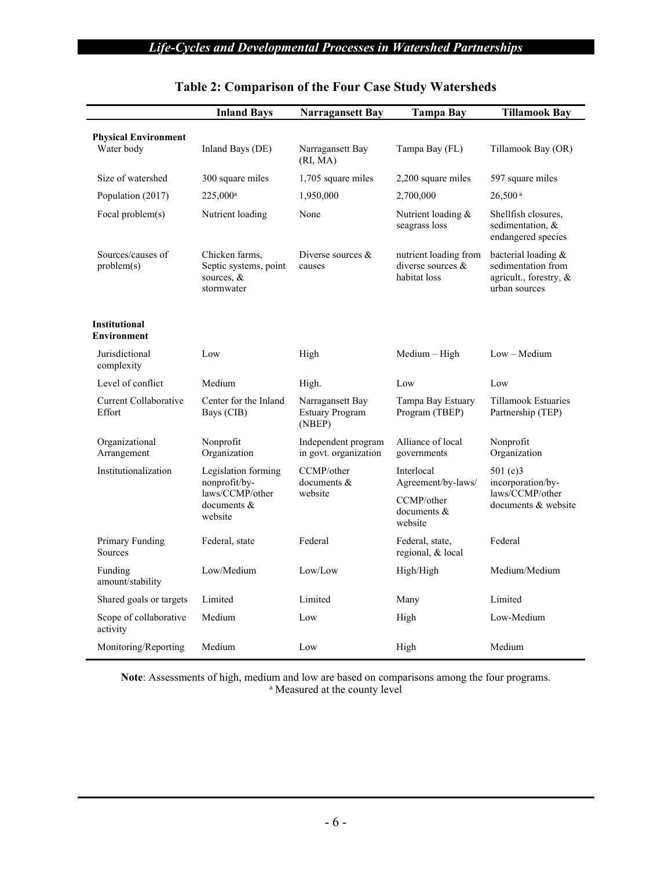|                                            | <b>Inland Bays</b>                                                  | <b>Narragansett Bay</b>                              | <b>Tampa Bay</b>                                             | <b>Tillamook Bay</b>                                                                 |  |
|--------------------------------------------|---------------------------------------------------------------------|------------------------------------------------------|--------------------------------------------------------------|--------------------------------------------------------------------------------------|--|
| <b>Physical Environment</b><br>Water body  | Inland Bays (DE)<br>Narragansett Bay<br>(RI, MA)                    |                                                      | Tampa Bay (FL)                                               | Tillamook Bay (OR)                                                                   |  |
| Size of watershed                          | 300 square miles                                                    | 1,705 square miles                                   | 2,200 square miles                                           | 597 square miles                                                                     |  |
| Population (2017)                          | 225,000 <sup>a</sup>                                                | 1,950,000                                            | 2,700,000                                                    | $26,500^{\text{ a}}$                                                                 |  |
| Focal problem(s)                           | Nutrient loading                                                    | None                                                 | Nutrient loading &<br>seagrass loss                          | Shellfish closures,<br>sedimentation, &<br>endangered species                        |  |
| Sources/causes of<br>problem(s)            | Chicken farms,<br>Septic systems, point<br>sources, &<br>stormwater | Diverse sources $&$<br>causes                        | nutrient loading from<br>diverse sources $&$<br>habitat loss | bacterial loading &<br>sedimentation from<br>agricult., forestry, &<br>urban sources |  |
| <b>Institutional</b><br><b>Environment</b> |                                                                     |                                                      |                                                              |                                                                                      |  |
| Jurisdictional<br>complexity               | Low                                                                 | High                                                 | Medium - High                                                | $Low - Medium$                                                                       |  |
| Level of conflict                          | Medium                                                              | High.                                                | Low                                                          | Low                                                                                  |  |
| Current Collaborative<br>Effort            | Center for the Inland<br>Bays (CIB)                                 | Narragansett Bay<br><b>Estuary Program</b><br>(NBEP) | Tampa Bay Estuary<br>Program (TBEP)                          | Tillamook Estuaries<br>Partnership (TEP)                                             |  |
| Organizational<br>Arrangement              | Nonprofit<br>Organization                                           | Independent program<br>in govt. organization         | Alliance of local<br>governments                             | Nonprofit<br>Organization                                                            |  |
| Institutionalization                       | Legislation forming<br>nonprofit/by-                                | CCMP/other<br>documents &                            | Interlocal<br>Agreement/by-laws/                             | 501 $(c)$ 3<br>incorporation/by-                                                     |  |
|                                            | laws/CCMP/other<br>documents &<br>website                           | website                                              | CCMP/other<br>documents &<br>website                         | laws/CCMP/other<br>documents & website                                               |  |
| Primary Funding<br>Sources                 | Federal, state                                                      | Federal                                              | Federal, state,<br>regional, & local                         | Federal                                                                              |  |
| Funding<br>amount/stability                | Low/Medium                                                          | Low/Low                                              | High/High                                                    | Medium/Medium                                                                        |  |
| Shared goals or targets                    | Limited                                                             | Limited                                              | Many                                                         | Limited                                                                              |  |
| Scope of collaborative<br>activity         | Medium                                                              | Low                                                  | High                                                         | Low-Medium                                                                           |  |
| Monitoring/Reporting                       | Medium                                                              | Low                                                  | High                                                         | Medium                                                                               |  |

# **Table 2: Comparison of the Four Case Study Watersheds**

Note: Assessments of high, medium and low are based on comparisons among the four programs. <sup>a</sup> Measured at the county level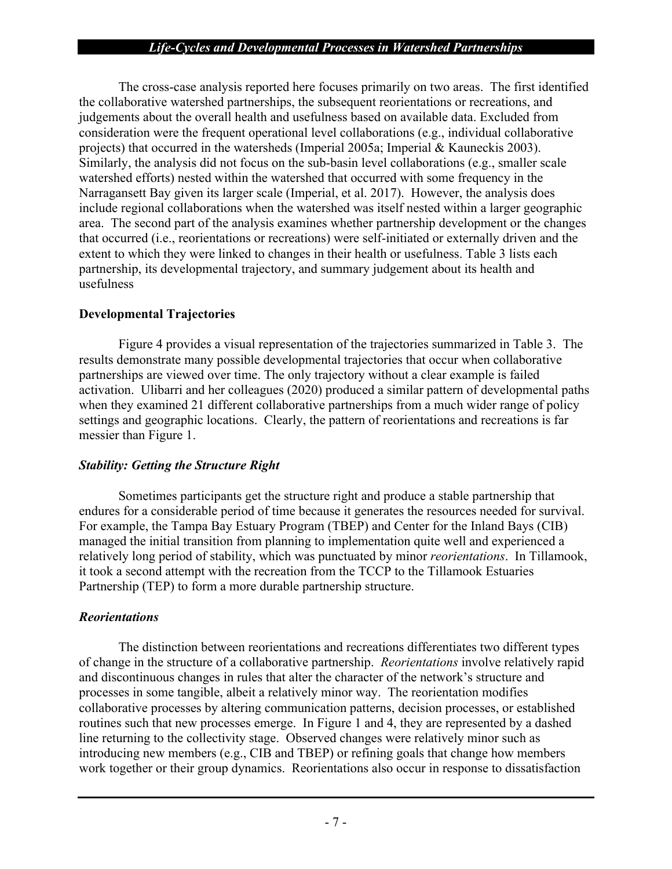The cross-case analysis reported here focuses primarily on two areas. The first identified the collaborative watershed partnerships, the subsequent reorientations or recreations, and judgements about the overall health and usefulness based on available data. Excluded from consideration were the frequent operational level collaborations (e.g., individual collaborative projects) that occurred in the watersheds (Imperial 2005a; Imperial & Kauneckis 2003). Similarly, the analysis did not focus on the sub-basin level collaborations (e.g., smaller scale watershed efforts) nested within the watershed that occurred with some frequency in the Narragansett Bay given its larger scale (Imperial, et al. 2017). However, the analysis does include regional collaborations when the watershed was itself nested within a larger geographic area. The second part of the analysis examines whether partnership development or the changes that occurred (i.e., reorientations or recreations) were self-initiated or externally driven and the extent to which they were linked to changes in their health or usefulness. Table 3 lists each partnership, its developmental trajectory, and summary judgement about its health and usefulness

#### **Developmental Trajectories**

Figure 4 provides a visual representation of the trajectories summarized in Table 3. The results demonstrate many possible developmental trajectories that occur when collaborative partnerships are viewed over time. The only trajectory without a clear example is failed activation. Ulibarri and her colleagues (2020) produced a similar pattern of developmental paths when they examined 21 different collaborative partnerships from a much wider range of policy settings and geographic locations. Clearly, the pattern of reorientations and recreations is far messier than Figure 1.

## *Stability: Getting the Structure Right*

Sometimes participants get the structure right and produce a stable partnership that endures for a considerable period of time because it generates the resources needed for survival. For example, the Tampa Bay Estuary Program (TBEP) and Center for the Inland Bays (CIB) managed the initial transition from planning to implementation quite well and experienced a relatively long period of stability, which was punctuated by minor *reorientations*. In Tillamook, it took a second attempt with the recreation from the TCCP to the Tillamook Estuaries Partnership (TEP) to form a more durable partnership structure.

## *Reorientations*

The distinction between reorientations and recreations differentiates two different types of change in the structure of a collaborative partnership. *Reorientations* involve relatively rapid and discontinuous changes in rules that alter the character of the network's structure and processes in some tangible, albeit a relatively minor way. The reorientation modifies collaborative processes by altering communication patterns, decision processes, or established routines such that new processes emerge. In Figure 1 and 4, they are represented by a dashed line returning to the collectivity stage. Observed changes were relatively minor such as introducing new members (e.g., CIB and TBEP) or refining goals that change how members work together or their group dynamics. Reorientations also occur in response to dissatisfaction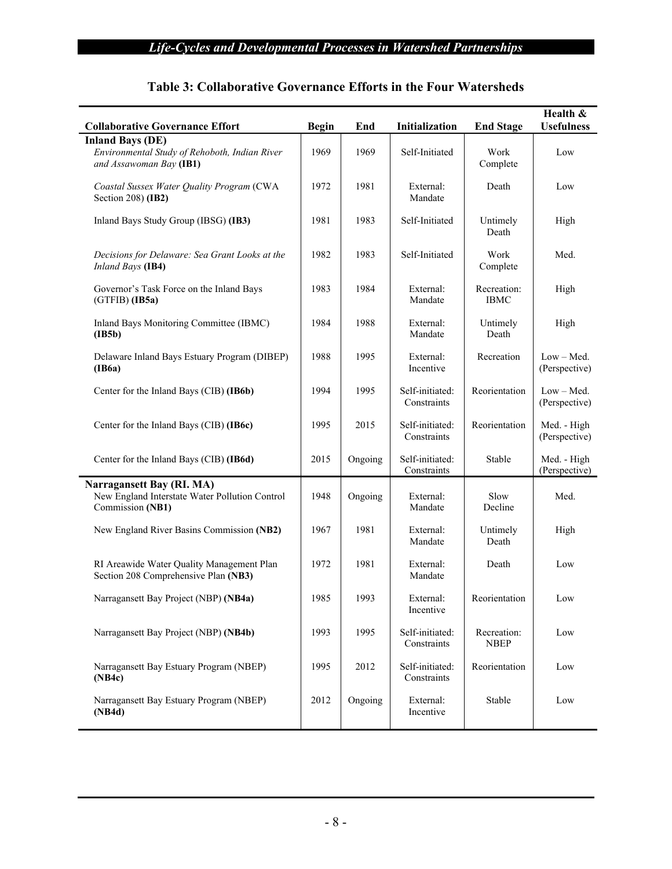| <b>Collaborative Governance Effort</b>                                                              | <b>Begin</b> | End     | Initialization                 | <b>End Stage</b>           | Health &<br><b>Usefulness</b> |
|-----------------------------------------------------------------------------------------------------|--------------|---------|--------------------------------|----------------------------|-------------------------------|
| <b>Inland Bays (DE)</b><br>Environmental Study of Rehoboth, Indian River<br>and Assawoman Bay (IB1) | 1969         | 1969    | Self-Initiated                 | Work<br>Complete           | Low                           |
| Coastal Sussex Water Quality Program (CWA<br>Section 208) (IB2)                                     | 1972         | 1981    | External:<br>Mandate           | Death                      | Low                           |
| Inland Bays Study Group (IBSG) (IB3)                                                                | 1981         | 1983    | Self-Initiated                 | Untimely<br>Death          | High                          |
| Decisions for Delaware: Sea Grant Looks at the<br>Inland Bays (IB4)                                 | 1982         | 1983    | Self-Initiated                 | Work<br>Complete           | Med.                          |
| Governor's Task Force on the Inland Bays<br>$(GTFIB)$ (IB5a)                                        | 1983         | 1984    | External:<br>Mandate           | Recreation:<br><b>IBMC</b> | High                          |
| Inland Bays Monitoring Committee (IBMC)<br>(IB5b)                                                   | 1984         | 1988    | External:<br>Mandate           | Untimely<br>Death          | High                          |
| Delaware Inland Bays Estuary Program (DIBEP)<br>(IB6a)                                              | 1988         | 1995    | External:<br>Incentive         | Recreation                 | $Low - Med.$<br>(Perspective) |
| Center for the Inland Bays (CIB) (IB6b)                                                             | 1994         | 1995    | Self-initiated:<br>Constraints | Reorientation              | Low - Med.<br>(Perspective)   |
| Center for the Inland Bays (CIB) (IB6c)                                                             | 1995         | 2015    | Self-initiated:<br>Constraints | Reorientation              | Med. - High<br>(Perspective)  |
| Center for the Inland Bays (CIB) (IB6d)                                                             | 2015         | Ongoing | Self-initiated:<br>Constraints | Stable                     | Med. - High<br>(Perspective)  |
| Narragansett Bay (RI. MA)<br>New England Interstate Water Pollution Control<br>Commission (NB1)     | 1948         | Ongoing | External:<br>Mandate           | Slow<br>Decline            | Med.                          |
| New England River Basins Commission (NB2)                                                           | 1967         | 1981    | External:<br>Mandate           | Untimely<br>Death          | High                          |
| RI Areawide Water Quality Management Plan<br>Section 208 Comprehensive Plan (NB3)                   | 1972         | 1981    | External:<br>Mandate           | Death                      | Low                           |
| Narragansett Bay Project (NBP) (NB4a)                                                               | 1985         | 1993    | External:<br>Incentive         | Reorientation              | Low                           |
| Narragansett Bay Project (NBP) (NB4b)                                                               | 1993         | 1995    | Self-initiated:<br>Constraints | Recreation:<br><b>NBEP</b> | Low                           |
| Narragansett Bay Estuary Program (NBEP)<br>(NB4c)                                                   | 1995         | 2012    | Self-initiated:<br>Constraints | Reorientation              | Low                           |
| Narragansett Bay Estuary Program (NBEP)<br>(NB4d)                                                   | 2012         | Ongoing | External:<br>Incentive         | Stable                     | Low                           |

## **Table 3: Collaborative Governance Efforts in the Four Watersheds**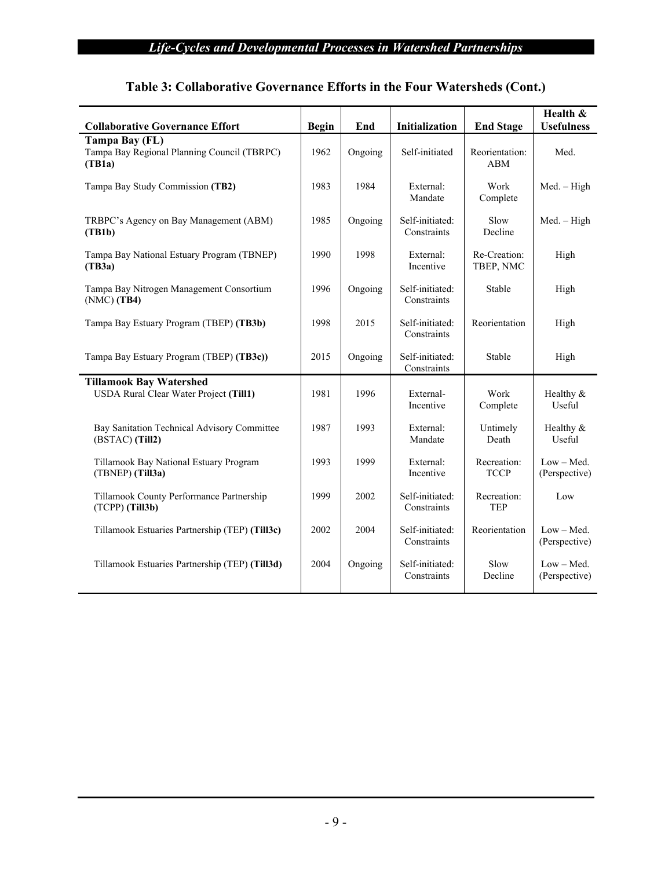| <b>Collaborative Governance Effort</b>                                   | <b>Begin</b> | End     | Initialization                 | <b>End Stage</b>             | Health &<br><b>Usefulness</b> |
|--------------------------------------------------------------------------|--------------|---------|--------------------------------|------------------------------|-------------------------------|
| Tampa Bay (FL)<br>Tampa Bay Regional Planning Council (TBRPC)<br>(TB1a)  | 1962         | Ongoing | Self-initiated                 | Reorientation:<br><b>ABM</b> | Med.                          |
| Tampa Bay Study Commission (TB2)                                         | 1983         | 1984    | External:<br>Mandate           | Work<br>Complete             | Med. - High                   |
| TRBPC's Agency on Bay Management (ABM)<br>(TB1b)                         | 1985         | Ongoing | Self-initiated:<br>Constraints | Slow<br>Decline              | $Med. - High$                 |
| Tampa Bay National Estuary Program (TBNEP)<br>(TB3a)                     | 1990         | 1998    | External:<br>Incentive         | Re-Creation:<br>TBEP, NMC    | High                          |
| Tampa Bay Nitrogen Management Consortium<br>$(NMC)$ (TB4)                | 1996         | Ongoing | Self-initiated:<br>Constraints | Stable                       | High                          |
| Tampa Bay Estuary Program (TBEP) (TB3b)                                  | 1998         | 2015    | Self-initiated:<br>Constraints | Reorientation                | High                          |
| Tampa Bay Estuary Program (TBEP) (TB3c))                                 | 2015         | Ongoing | Self-initiated:<br>Constraints | Stable                       | High                          |
| <b>Tillamook Bay Watershed</b><br>USDA Rural Clear Water Project (Till1) | 1981         | 1996    | External-<br>Incentive         | Work<br>Complete             | Healthy &<br>Useful           |
| Bay Sanitation Technical Advisory Committee<br>(BSTAC) (Till2)           | 1987         | 1993    | External:<br>Mandate           | Untimely<br>Death            | Healthy &<br>Useful           |
| Tillamook Bay National Estuary Program<br>(TBNEP) (Till3a)               | 1993         | 1999    | External:<br>Incentive         | Recreation:<br><b>TCCP</b>   | Low - Med.<br>(Perspective)   |
| Tillamook County Performance Partnership<br>(TCPP) (Till3b)              | 1999         | 2002    | Self-initiated:<br>Constraints | Recreation:<br><b>TEP</b>    | Low                           |
| Tillamook Estuaries Partnership (TEP) (Till3c)                           | 2002         | 2004    | Self-initiated:<br>Constraints | Reorientation                | $Low - Med.$<br>(Perspective) |
| Tillamook Estuaries Partnership (TEP) (Till3d)                           | 2004         | Ongoing | Self-initiated:<br>Constraints | Slow<br>Decline              | Low - Med.<br>(Perspective)   |

# **Table 3: Collaborative Governance Efforts in the Four Watersheds (Cont.)**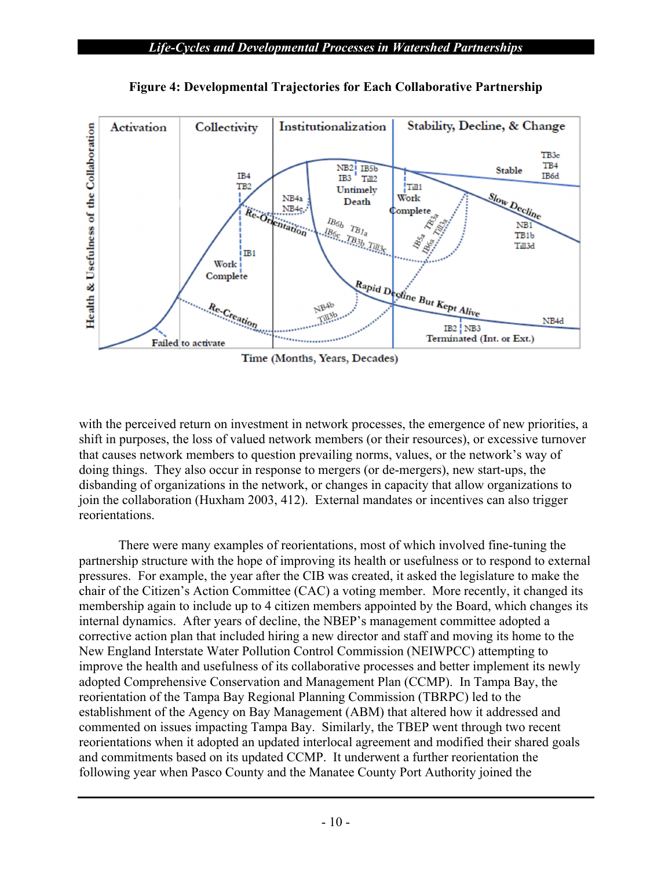

**Figure 4: Developmental Trajectories for Each Collaborative Partnership** 

with the perceived return on investment in network processes, the emergence of new priorities, a shift in purposes, the loss of valued network members (or their resources), or excessive turnover that causes network members to question prevailing norms, values, or the network's way of doing things. They also occur in response to mergers (or de-mergers), new start-ups, the disbanding of organizations in the network, or changes in capacity that allow organizations to join the collaboration (Huxham 2003, 412). External mandates or incentives can also trigger reorientations.

There were many examples of reorientations, most of which involved fine-tuning the partnership structure with the hope of improving its health or usefulness or to respond to external pressures. For example, the year after the CIB was created, it asked the legislature to make the chair of the Citizen's Action Committee (CAC) a voting member. More recently, it changed its membership again to include up to 4 citizen members appointed by the Board, which changes its internal dynamics. After years of decline, the NBEP's management committee adopted a corrective action plan that included hiring a new director and staff and moving its home to the New England Interstate Water Pollution Control Commission (NEIWPCC) attempting to improve the health and usefulness of its collaborative processes and better implement its newly adopted Comprehensive Conservation and Management Plan (CCMP). In Tampa Bay, the reorientation of the Tampa Bay Regional Planning Commission (TBRPC) led to the establishment of the Agency on Bay Management (ABM) that altered how it addressed and commented on issues impacting Tampa Bay. Similarly, the TBEP went through two recent reorientations when it adopted an updated interlocal agreement and modified their shared goals and commitments based on its updated CCMP. It underwent a further reorientation the following year when Pasco County and the Manatee County Port Authority joined the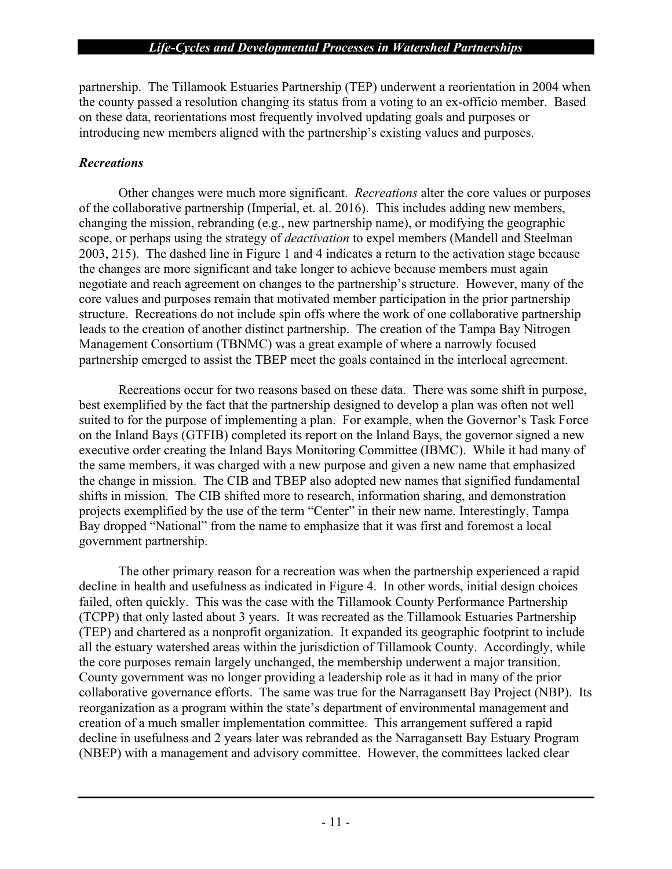partnership. The Tillamook Estuaries Partnership (TEP) underwent a reorientation in 2004 when the county passed a resolution changing its status from a voting to an ex-officio member. Based on these data, reorientations most frequently involved updating goals and purposes or introducing new members aligned with the partnership's existing values and purposes.

## *Recreations*

Other changes were much more significant. *Recreations* alter the core values or purposes of the collaborative partnership (Imperial, et. al. 2016). This includes adding new members, changing the mission, rebranding (e.g., new partnership name), or modifying the geographic scope, or perhaps using the strategy of *deactivation* to expel members (Mandell and Steelman 2003, 215). The dashed line in Figure 1 and 4 indicates a return to the activation stage because the changes are more significant and take longer to achieve because members must again negotiate and reach agreement on changes to the partnership's structure. However, many of the core values and purposes remain that motivated member participation in the prior partnership structure. Recreations do not include spin offs where the work of one collaborative partnership leads to the creation of another distinct partnership. The creation of the Tampa Bay Nitrogen Management Consortium (TBNMC) was a great example of where a narrowly focused partnership emerged to assist the TBEP meet the goals contained in the interlocal agreement.

Recreations occur for two reasons based on these data. There was some shift in purpose, best exemplified by the fact that the partnership designed to develop a plan was often not well suited to for the purpose of implementing a plan. For example, when the Governor's Task Force on the Inland Bays (GTFIB) completed its report on the Inland Bays, the governor signed a new executive order creating the Inland Bays Monitoring Committee (IBMC). While it had many of the same members, it was charged with a new purpose and given a new name that emphasized the change in mission. The CIB and TBEP also adopted new names that signified fundamental shifts in mission. The CIB shifted more to research, information sharing, and demonstration projects exemplified by the use of the term "Center" in their new name. Interestingly, Tampa Bay dropped "National" from the name to emphasize that it was first and foremost a local government partnership.

The other primary reason for a recreation was when the partnership experienced a rapid decline in health and usefulness as indicated in Figure 4. In other words, initial design choices failed, often quickly. This was the case with the Tillamook County Performance Partnership (TCPP) that only lasted about 3 years. It was recreated as the Tillamook Estuaries Partnership (TEP) and chartered as a nonprofit organization. It expanded its geographic footprint to include all the estuary watershed areas within the jurisdiction of Tillamook County. Accordingly, while the core purposes remain largely unchanged, the membership underwent a major transition. County government was no longer providing a leadership role as it had in many of the prior collaborative governance efforts. The same was true for the Narragansett Bay Project (NBP). Its reorganization as a program within the state's department of environmental management and creation of a much smaller implementation committee. This arrangement suffered a rapid decline in usefulness and 2 years later was rebranded as the Narragansett Bay Estuary Program (NBEP) with a management and advisory committee. However, the committees lacked clear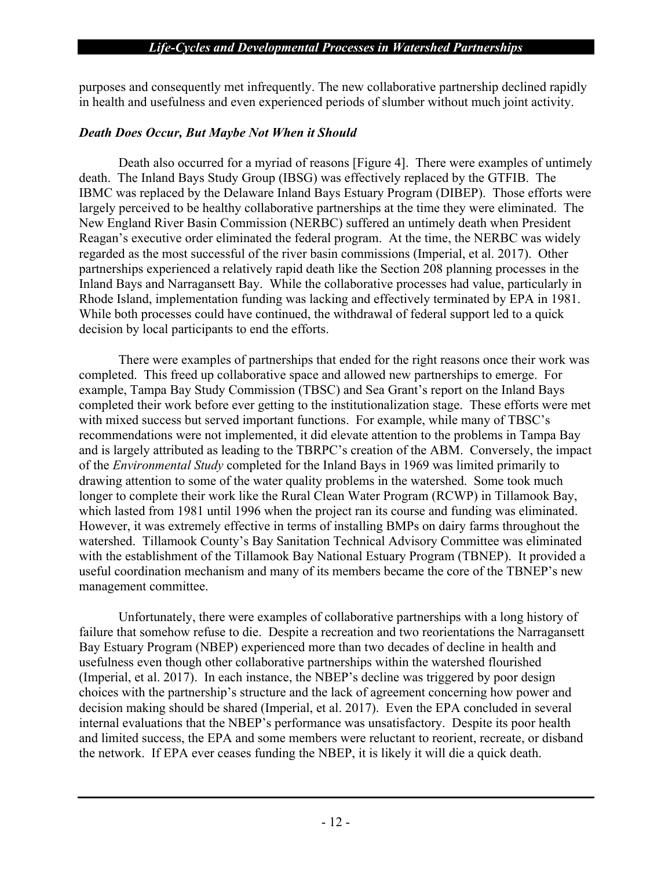purposes and consequently met infrequently. The new collaborative partnership declined rapidly in health and usefulness and even experienced periods of slumber without much joint activity.

#### *Death Does Occur, But Maybe Not When it Should*

Death also occurred for a myriad of reasons [Figure 4]. There were examples of untimely death. The Inland Bays Study Group (IBSG) was effectively replaced by the GTFIB. The IBMC was replaced by the Delaware Inland Bays Estuary Program (DIBEP). Those efforts were largely perceived to be healthy collaborative partnerships at the time they were eliminated. The New England River Basin Commission (NERBC) suffered an untimely death when President Reagan's executive order eliminated the federal program. At the time, the NERBC was widely regarded as the most successful of the river basin commissions (Imperial, et al. 2017). Other partnerships experienced a relatively rapid death like the Section 208 planning processes in the Inland Bays and Narragansett Bay. While the collaborative processes had value, particularly in Rhode Island, implementation funding was lacking and effectively terminated by EPA in 1981. While both processes could have continued, the withdrawal of federal support led to a quick decision by local participants to end the efforts.

There were examples of partnerships that ended for the right reasons once their work was completed. This freed up collaborative space and allowed new partnerships to emerge. For example, Tampa Bay Study Commission (TBSC) and Sea Grant's report on the Inland Bays completed their work before ever getting to the institutionalization stage. These efforts were met with mixed success but served important functions. For example, while many of TBSC's recommendations were not implemented, it did elevate attention to the problems in Tampa Bay and is largely attributed as leading to the TBRPC's creation of the ABM. Conversely, the impact of the *Environmental Study* completed for the Inland Bays in 1969 was limited primarily to drawing attention to some of the water quality problems in the watershed. Some took much longer to complete their work like the Rural Clean Water Program (RCWP) in Tillamook Bay, which lasted from 1981 until 1996 when the project ran its course and funding was eliminated. However, it was extremely effective in terms of installing BMPs on dairy farms throughout the watershed. Tillamook County's Bay Sanitation Technical Advisory Committee was eliminated with the establishment of the Tillamook Bay National Estuary Program (TBNEP). It provided a useful coordination mechanism and many of its members became the core of the TBNEP's new management committee.

Unfortunately, there were examples of collaborative partnerships with a long history of failure that somehow refuse to die. Despite a recreation and two reorientations the Narragansett Bay Estuary Program (NBEP) experienced more than two decades of decline in health and usefulness even though other collaborative partnerships within the watershed flourished (Imperial, et al. 2017). In each instance, the NBEP's decline was triggered by poor design choices with the partnership's structure and the lack of agreement concerning how power and decision making should be shared (Imperial, et al. 2017). Even the EPA concluded in several internal evaluations that the NBEP's performance was unsatisfactory. Despite its poor health and limited success, the EPA and some members were reluctant to reorient, recreate, or disband the network. If EPA ever ceases funding the NBEP, it is likely it will die a quick death.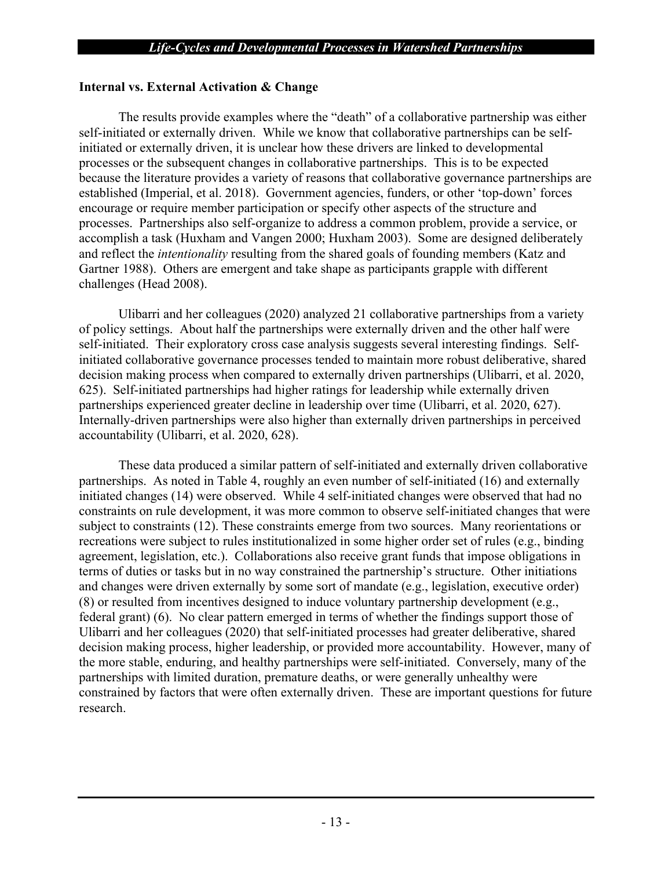#### **Internal vs. External Activation & Change**

The results provide examples where the "death" of a collaborative partnership was either self-initiated or externally driven. While we know that collaborative partnerships can be selfinitiated or externally driven, it is unclear how these drivers are linked to developmental processes or the subsequent changes in collaborative partnerships. This is to be expected because the literature provides a variety of reasons that collaborative governance partnerships are established (Imperial, et al. 2018). Government agencies, funders, or other 'top-down' forces encourage or require member participation or specify other aspects of the structure and processes. Partnerships also self-organize to address a common problem, provide a service, or accomplish a task (Huxham and Vangen 2000; Huxham 2003). Some are designed deliberately and reflect the *intentionality* resulting from the shared goals of founding members (Katz and Gartner 1988). Others are emergent and take shape as participants grapple with different challenges (Head 2008).

Ulibarri and her colleagues (2020) analyzed 21 collaborative partnerships from a variety of policy settings. About half the partnerships were externally driven and the other half were self-initiated. Their exploratory cross case analysis suggests several interesting findings. Selfinitiated collaborative governance processes tended to maintain more robust deliberative, shared decision making process when compared to externally driven partnerships (Ulibarri, et al. 2020, 625). Self-initiated partnerships had higher ratings for leadership while externally driven partnerships experienced greater decline in leadership over time (Ulibarri, et al. 2020, 627). Internally-driven partnerships were also higher than externally driven partnerships in perceived accountability (Ulibarri, et al. 2020, 628).

These data produced a similar pattern of self-initiated and externally driven collaborative partnerships. As noted in Table 4, roughly an even number of self-initiated (16) and externally initiated changes (14) were observed. While 4 self-initiated changes were observed that had no constraints on rule development, it was more common to observe self-initiated changes that were subject to constraints (12). These constraints emerge from two sources. Many reorientations or recreations were subject to rules institutionalized in some higher order set of rules (e.g., binding agreement, legislation, etc.). Collaborations also receive grant funds that impose obligations in terms of duties or tasks but in no way constrained the partnership's structure. Other initiations and changes were driven externally by some sort of mandate (e.g., legislation, executive order) (8) or resulted from incentives designed to induce voluntary partnership development (e.g., federal grant) (6). No clear pattern emerged in terms of whether the findings support those of Ulibarri and her colleagues (2020) that self-initiated processes had greater deliberative, shared decision making process, higher leadership, or provided more accountability. However, many of the more stable, enduring, and healthy partnerships were self-initiated. Conversely, many of the partnerships with limited duration, premature deaths, or were generally unhealthy were constrained by factors that were often externally driven. These are important questions for future research.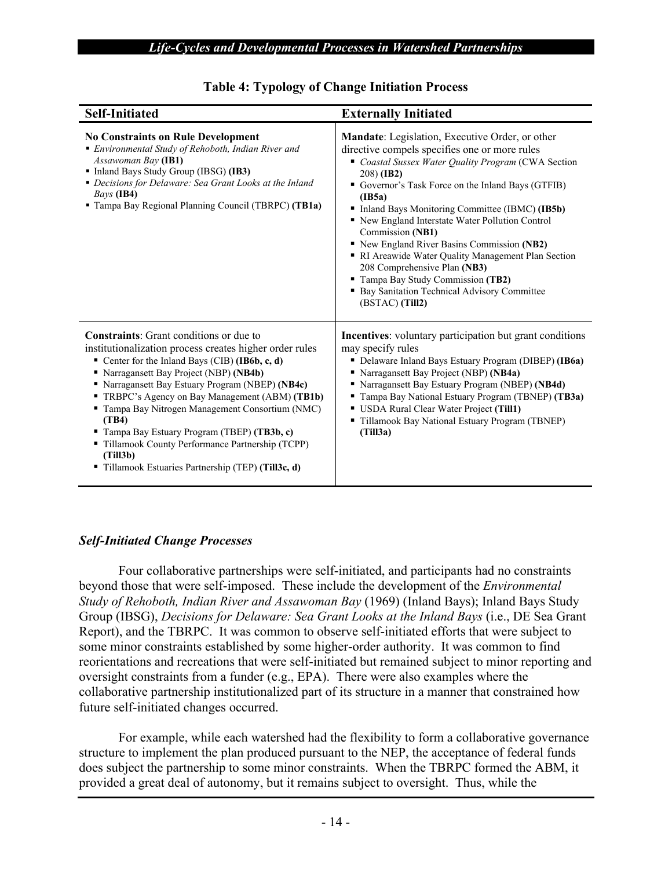| <b>Self-Initiated</b>                                                                                                                                                                                                                                                                                                                                                                                                                                                                                                                 | <b>Externally Initiated</b>                                                                                                                                                                                                                                                                                                                                                                                                                                                                                                                                                                                    |
|---------------------------------------------------------------------------------------------------------------------------------------------------------------------------------------------------------------------------------------------------------------------------------------------------------------------------------------------------------------------------------------------------------------------------------------------------------------------------------------------------------------------------------------|----------------------------------------------------------------------------------------------------------------------------------------------------------------------------------------------------------------------------------------------------------------------------------------------------------------------------------------------------------------------------------------------------------------------------------------------------------------------------------------------------------------------------------------------------------------------------------------------------------------|
| <b>No Constraints on Rule Development</b><br>• Environmental Study of Rehoboth, Indian River and<br>Assawoman Bay (IB1)<br>• Inland Bays Study Group (IBSG) (IB3)<br>• Decisions for Delaware: Sea Grant Looks at the Inland<br>Bays (IB4)<br>" Tampa Bay Regional Planning Council (TBRPC) (TB1a)                                                                                                                                                                                                                                    | Mandate: Legislation, Executive Order, or other<br>directive compels specifies one or more rules<br>Coastal Sussex Water Quality Program (CWA Section<br>208) ( <b>IB2</b> )<br>Governor's Task Force on the Inland Bays (GTFIB)<br>(IB5a)<br>Inland Bays Monitoring Committee (IBMC) (IB5b)<br>Rew England Interstate Water Pollution Control<br>Commission (NB1)<br>New England River Basins Commission (NB2)<br>RI Areawide Water Quality Management Plan Section<br>208 Comprehensive Plan (NB3)<br>" Tampa Bay Study Commission (TB2)<br>• Bay Sanitation Technical Advisory Committee<br>(BSTAC) (Till2) |
| <b>Constraints:</b> Grant conditions or due to<br>institutionalization process creates higher order rules<br>Center for the Inland Bays (CIB) (IB6b, c, d)<br>Narragansett Bay Project (NBP) (NB4b)<br>Narragansett Bay Estuary Program (NBEP) (NB4c)<br>TRBPC's Agency on Bay Management (ABM) (TB1b)<br>Tampa Bay Nitrogen Management Consortium (NMC)<br>(TB4)<br>Tampa Bay Estuary Program (TBEP) (TB3b, c)<br>" Tillamook County Performance Partnership (TCPP)<br>(Till3b)<br>Tillamook Estuaries Partnership (TEP) (Till3c, d) | <b>Incentives:</b> voluntary participation but grant conditions<br>may specify rules<br>• Delaware Inland Bays Estuary Program (DIBEP) (IB6a)<br>Narragansett Bay Project (NBP) (NB4a)<br>• Narragansett Bay Estuary Program (NBEP) (NB4d)<br>Tampa Bay National Estuary Program (TBNEP) (TB3a)<br>USDA Rural Clear Water Project (Till1)<br>" Tillamook Bay National Estuary Program (TBNEP)<br>(Till3a)                                                                                                                                                                                                      |

## **Table 4: Typology of Change Initiation Process**

#### *Self-Initiated Change Processes*

Four collaborative partnerships were self-initiated, and participants had no constraints beyond those that were self-imposed. These include the development of the *Environmental Study of Rehoboth, Indian River and Assawoman Bay* (1969) (Inland Bays); Inland Bays Study Group (IBSG), *Decisions for Delaware: Sea Grant Looks at the Inland Bays* (i.e., DE Sea Grant Report), and the TBRPC. It was common to observe self-initiated efforts that were subject to some minor constraints established by some higher-order authority. It was common to find reorientations and recreations that were self-initiated but remained subject to minor reporting and oversight constraints from a funder (e.g., EPA). There were also examples where the collaborative partnership institutionalized part of its structure in a manner that constrained how future self-initiated changes occurred.

For example, while each watershed had the flexibility to form a collaborative governance structure to implement the plan produced pursuant to the NEP, the acceptance of federal funds does subject the partnership to some minor constraints. When the TBRPC formed the ABM, it provided a great deal of autonomy, but it remains subject to oversight. Thus, while the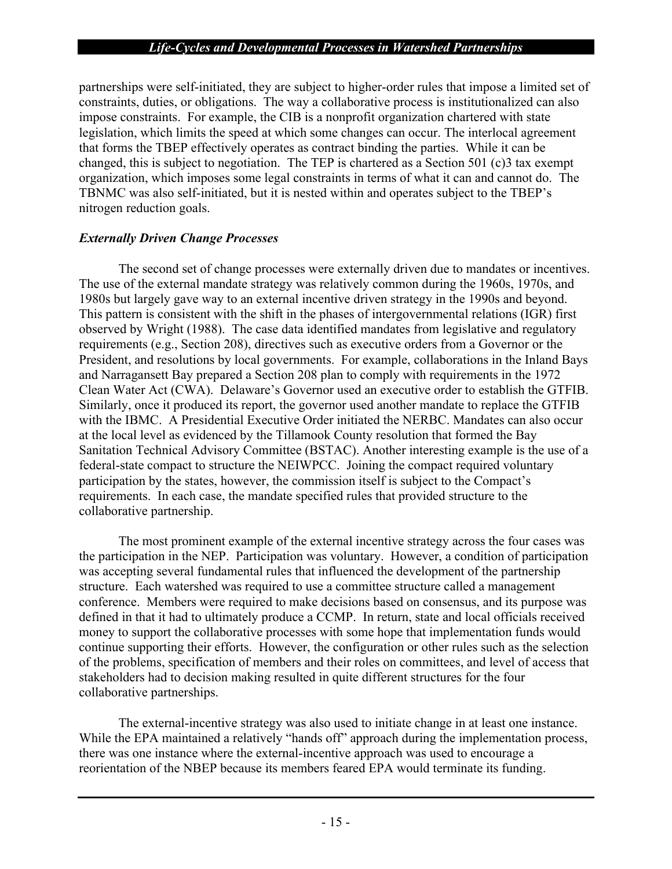partnerships were self-initiated, they are subject to higher-order rules that impose a limited set of constraints, duties, or obligations. The way a collaborative process is institutionalized can also impose constraints. For example, the CIB is a nonprofit organization chartered with state legislation, which limits the speed at which some changes can occur. The interlocal agreement that forms the TBEP effectively operates as contract binding the parties. While it can be changed, this is subject to negotiation. The TEP is chartered as a Section 501 (c)3 tax exempt organization, which imposes some legal constraints in terms of what it can and cannot do. The TBNMC was also self-initiated, but it is nested within and operates subject to the TBEP's nitrogen reduction goals.

#### *Externally Driven Change Processes*

The second set of change processes were externally driven due to mandates or incentives. The use of the external mandate strategy was relatively common during the 1960s, 1970s, and 1980s but largely gave way to an external incentive driven strategy in the 1990s and beyond. This pattern is consistent with the shift in the phases of intergovernmental relations (IGR) first observed by Wright (1988). The case data identified mandates from legislative and regulatory requirements (e.g., Section 208), directives such as executive orders from a Governor or the President, and resolutions by local governments. For example, collaborations in the Inland Bays and Narragansett Bay prepared a Section 208 plan to comply with requirements in the 1972 Clean Water Act (CWA). Delaware's Governor used an executive order to establish the GTFIB. Similarly, once it produced its report, the governor used another mandate to replace the GTFIB with the IBMC. A Presidential Executive Order initiated the NERBC. Mandates can also occur at the local level as evidenced by the Tillamook County resolution that formed the Bay Sanitation Technical Advisory Committee (BSTAC). Another interesting example is the use of a federal-state compact to structure the NEIWPCC. Joining the compact required voluntary participation by the states, however, the commission itself is subject to the Compact's requirements. In each case, the mandate specified rules that provided structure to the collaborative partnership.

The most prominent example of the external incentive strategy across the four cases was the participation in the NEP. Participation was voluntary. However, a condition of participation was accepting several fundamental rules that influenced the development of the partnership structure. Each watershed was required to use a committee structure called a management conference. Members were required to make decisions based on consensus, and its purpose was defined in that it had to ultimately produce a CCMP. In return, state and local officials received money to support the collaborative processes with some hope that implementation funds would continue supporting their efforts. However, the configuration or other rules such as the selection of the problems, specification of members and their roles on committees, and level of access that stakeholders had to decision making resulted in quite different structures for the four collaborative partnerships.

The external-incentive strategy was also used to initiate change in at least one instance. While the EPA maintained a relatively "hands off" approach during the implementation process, there was one instance where the external-incentive approach was used to encourage a reorientation of the NBEP because its members feared EPA would terminate its funding.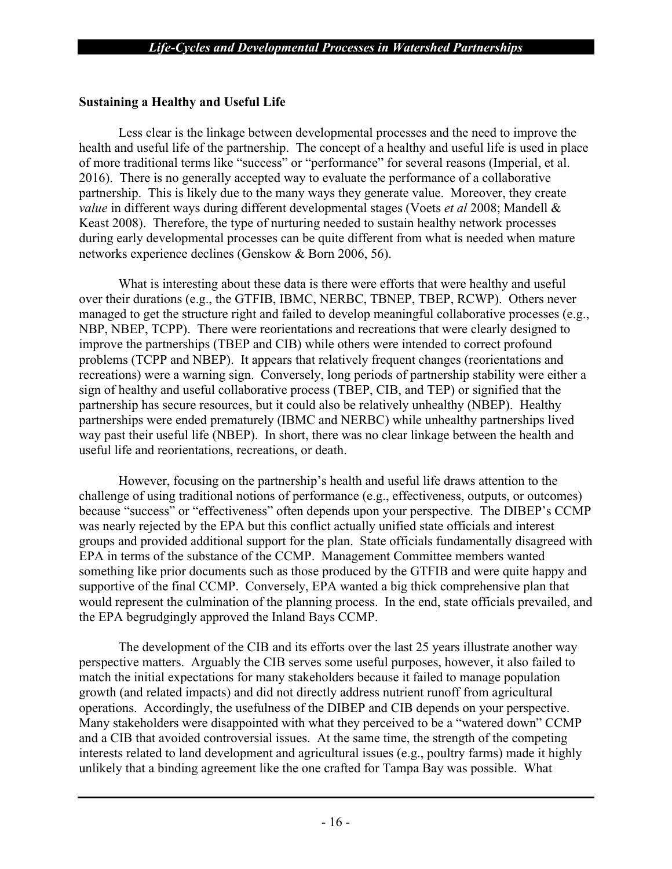## **Sustaining a Healthy and Useful Life**

Less clear is the linkage between developmental processes and the need to improve the health and useful life of the partnership. The concept of a healthy and useful life is used in place of more traditional terms like "success" or "performance" for several reasons (Imperial, et al. 2016). There is no generally accepted way to evaluate the performance of a collaborative partnership. This is likely due to the many ways they generate value. Moreover, they create *value* in different ways during different developmental stages (Voets *et al* 2008; Mandell & Keast 2008). Therefore, the type of nurturing needed to sustain healthy network processes during early developmental processes can be quite different from what is needed when mature networks experience declines (Genskow & Born 2006, 56).

What is interesting about these data is there were efforts that were healthy and useful over their durations (e.g., the GTFIB, IBMC, NERBC, TBNEP, TBEP, RCWP). Others never managed to get the structure right and failed to develop meaningful collaborative processes (e.g., NBP, NBEP, TCPP). There were reorientations and recreations that were clearly designed to improve the partnerships (TBEP and CIB) while others were intended to correct profound problems (TCPP and NBEP). It appears that relatively frequent changes (reorientations and recreations) were a warning sign. Conversely, long periods of partnership stability were either a sign of healthy and useful collaborative process (TBEP, CIB, and TEP) or signified that the partnership has secure resources, but it could also be relatively unhealthy (NBEP). Healthy partnerships were ended prematurely (IBMC and NERBC) while unhealthy partnerships lived way past their useful life (NBEP). In short, there was no clear linkage between the health and useful life and reorientations, recreations, or death.

However, focusing on the partnership's health and useful life draws attention to the challenge of using traditional notions of performance (e.g., effectiveness, outputs, or outcomes) because "success" or "effectiveness" often depends upon your perspective. The DIBEP's CCMP was nearly rejected by the EPA but this conflict actually unified state officials and interest groups and provided additional support for the plan. State officials fundamentally disagreed with EPA in terms of the substance of the CCMP. Management Committee members wanted something like prior documents such as those produced by the GTFIB and were quite happy and supportive of the final CCMP. Conversely, EPA wanted a big thick comprehensive plan that would represent the culmination of the planning process. In the end, state officials prevailed, and the EPA begrudgingly approved the Inland Bays CCMP.

The development of the CIB and its efforts over the last 25 years illustrate another way perspective matters. Arguably the CIB serves some useful purposes, however, it also failed to match the initial expectations for many stakeholders because it failed to manage population growth (and related impacts) and did not directly address nutrient runoff from agricultural operations. Accordingly, the usefulness of the DIBEP and CIB depends on your perspective. Many stakeholders were disappointed with what they perceived to be a "watered down" CCMP and a CIB that avoided controversial issues. At the same time, the strength of the competing interests related to land development and agricultural issues (e.g., poultry farms) made it highly unlikely that a binding agreement like the one crafted for Tampa Bay was possible. What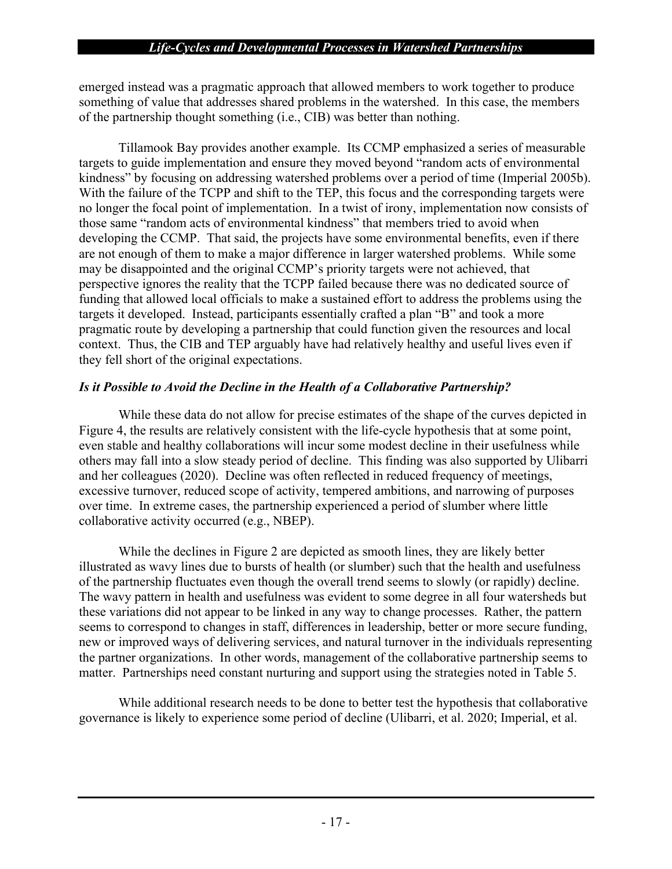emerged instead was a pragmatic approach that allowed members to work together to produce something of value that addresses shared problems in the watershed. In this case, the members of the partnership thought something (i.e., CIB) was better than nothing.

Tillamook Bay provides another example. Its CCMP emphasized a series of measurable targets to guide implementation and ensure they moved beyond "random acts of environmental kindness" by focusing on addressing watershed problems over a period of time (Imperial 2005b). With the failure of the TCPP and shift to the TEP, this focus and the corresponding targets were no longer the focal point of implementation. In a twist of irony, implementation now consists of those same "random acts of environmental kindness" that members tried to avoid when developing the CCMP. That said, the projects have some environmental benefits, even if there are not enough of them to make a major difference in larger watershed problems. While some may be disappointed and the original CCMP's priority targets were not achieved, that perspective ignores the reality that the TCPP failed because there was no dedicated source of funding that allowed local officials to make a sustained effort to address the problems using the targets it developed. Instead, participants essentially crafted a plan "B" and took a more pragmatic route by developing a partnership that could function given the resources and local context. Thus, the CIB and TEP arguably have had relatively healthy and useful lives even if they fell short of the original expectations.

## *Is it Possible to Avoid the Decline in the Health of a Collaborative Partnership?*

While these data do not allow for precise estimates of the shape of the curves depicted in Figure 4, the results are relatively consistent with the life-cycle hypothesis that at some point, even stable and healthy collaborations will incur some modest decline in their usefulness while others may fall into a slow steady period of decline. This finding was also supported by Ulibarri and her colleagues (2020). Decline was often reflected in reduced frequency of meetings, excessive turnover, reduced scope of activity, tempered ambitions, and narrowing of purposes over time. In extreme cases, the partnership experienced a period of slumber where little collaborative activity occurred (e.g., NBEP).

While the declines in Figure 2 are depicted as smooth lines, they are likely better illustrated as wavy lines due to bursts of health (or slumber) such that the health and usefulness of the partnership fluctuates even though the overall trend seems to slowly (or rapidly) decline. The wavy pattern in health and usefulness was evident to some degree in all four watersheds but these variations did not appear to be linked in any way to change processes. Rather, the pattern seems to correspond to changes in staff, differences in leadership, better or more secure funding, new or improved ways of delivering services, and natural turnover in the individuals representing the partner organizations. In other words, management of the collaborative partnership seems to matter. Partnerships need constant nurturing and support using the strategies noted in Table 5.

While additional research needs to be done to better test the hypothesis that collaborative governance is likely to experience some period of decline (Ulibarri, et al. 2020; Imperial, et al.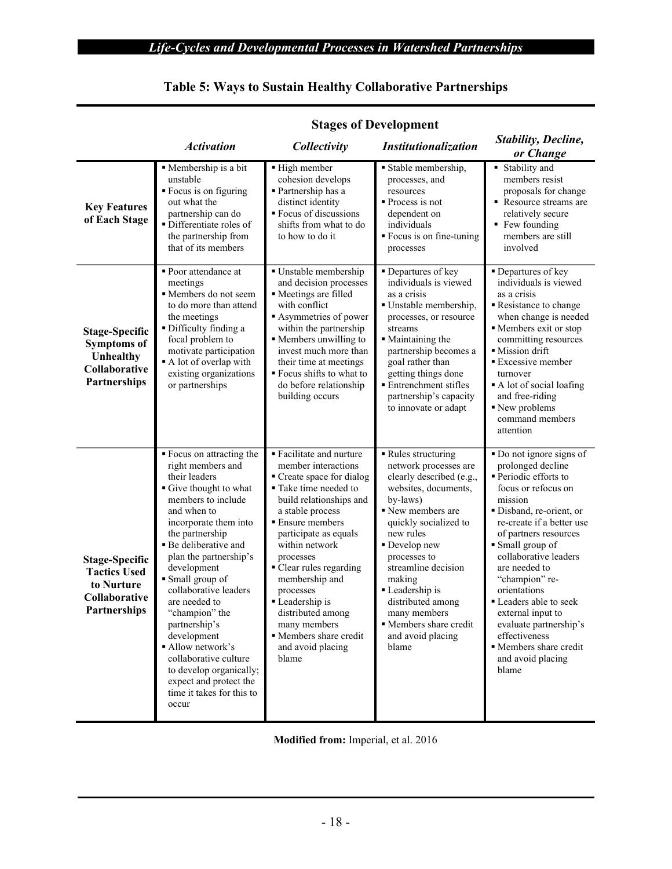|                                                                                                  | <b>Stages of Development</b>                                                                                                                                                                                                                                                                                                                                                                                                                                                                      |                                                                                                                                                                                                                                                                                                                                                                                                             |                                                                                                                                                                                                                                                                                                                                                   |                                                                                                                                                                                                                                                                                                                                                                                                                                        |  |  |
|--------------------------------------------------------------------------------------------------|---------------------------------------------------------------------------------------------------------------------------------------------------------------------------------------------------------------------------------------------------------------------------------------------------------------------------------------------------------------------------------------------------------------------------------------------------------------------------------------------------|-------------------------------------------------------------------------------------------------------------------------------------------------------------------------------------------------------------------------------------------------------------------------------------------------------------------------------------------------------------------------------------------------------------|---------------------------------------------------------------------------------------------------------------------------------------------------------------------------------------------------------------------------------------------------------------------------------------------------------------------------------------------------|----------------------------------------------------------------------------------------------------------------------------------------------------------------------------------------------------------------------------------------------------------------------------------------------------------------------------------------------------------------------------------------------------------------------------------------|--|--|
|                                                                                                  | <b>Activation</b>                                                                                                                                                                                                                                                                                                                                                                                                                                                                                 | Collectivity                                                                                                                                                                                                                                                                                                                                                                                                | <b>Institutionalization</b>                                                                                                                                                                                                                                                                                                                       | <b>Stability, Decline,</b><br>or Change                                                                                                                                                                                                                                                                                                                                                                                                |  |  |
| <b>Key Features</b><br>of Each Stage                                                             | • Membership is a bit<br>unstable<br>■ Focus is on figuring<br>out what the<br>partnership can do<br>· Differentiate roles of<br>the partnership from<br>that of its members                                                                                                                                                                                                                                                                                                                      | ■ High member<br>cohesion develops<br>· Partnership has a<br>distinct identity<br>• Focus of discussions<br>shifts from what to do<br>to how to do it                                                                                                                                                                                                                                                       | Stable membership,<br>processes, and<br>resources<br>$\blacksquare$ Process is not<br>dependent on<br>individuals<br>" Focus is on fine-tuning<br>processes                                                                                                                                                                                       | $\blacksquare$ Stability and<br>members resist<br>proposals for change<br>Resource streams are<br>relatively secure<br>• Few founding<br>members are still<br>involved                                                                                                                                                                                                                                                                 |  |  |
| <b>Stage-Specific</b><br><b>Symptoms of</b><br>Unhealthy<br><b>Collaborative</b><br>Partnerships | • Poor attendance at<br>meetings<br>Members do not seem<br>to do more than attend<br>the meetings<br>Difficulty finding a<br>focal problem to<br>motivate participation<br>A lot of overlap with<br>existing organizations<br>or partnerships                                                                                                                                                                                                                                                     | · Unstable membership<br>and decision processes<br>Meetings are filled<br>with conflict<br>Asymmetries of power<br>within the partnership<br>• Members unwilling to<br>invest much more than<br>their time at meetings<br>" Focus shifts to what to<br>do before relationship<br>building occurs                                                                                                            | Departures of key<br>individuals is viewed<br>as a crisis<br>· Unstable membership,<br>processes, or resource<br>streams<br>• Maintaining the<br>partnership becomes a<br>goal rather than<br>getting things done<br><b>Entrenchment stifles</b><br>partnership's capacity<br>to innovate or adapt                                                | • Departures of key<br>individuals is viewed<br>as a crisis<br>Resistance to change<br>when change is needed<br>Members exit or stop<br>committing resources<br>· Mission drift<br><b>Excessive member</b><br>turnover<br>A lot of social loafing<br>and free-riding<br>New problems<br>command members<br>attention                                                                                                                   |  |  |
| <b>Stage-Specific</b><br><b>Tactics Used</b><br>to Nurture<br>Collaborative<br>Partnerships      | ■ Focus on attracting the<br>right members and<br>their leaders<br>Give thought to what<br>members to include<br>and when to<br>incorporate them into<br>the partnership<br>· Be deliberative and<br>plan the partnership's<br>development<br>• Small group of<br>collaborative leaders<br>are needed to<br>"champion" the<br>partnership's<br>development<br>Allow network's<br>collaborative culture<br>to develop organically;<br>expect and protect the<br>time it takes for this to<br>occur | • Facilitate and nurture<br>member interactions<br>Create space for dialog<br>• Take time needed to<br>build relationships and<br>a stable process<br><b>Ensure members</b><br>participate as equals<br>within network<br>processes<br>Clear rules regarding<br>membership and<br>processes<br>• Leadership is<br>distributed among<br>many members<br>• Members share credit<br>and avoid placing<br>blame | Rules structuring<br>network processes are<br>clearly described (e.g.,<br>websites, documents,<br>by-laws)<br>New members are<br>quickly socialized to<br>new rules<br>• Develop new<br>processes to<br>streamline decision<br>making<br>Leadership is<br>distributed among<br>many members<br>Members share credit<br>and avoid placing<br>blame | Do not ignore signs of<br>prolonged decline<br>· Periodic efforts to<br>focus or refocus on<br>mission<br>· Disband, re-orient, or<br>re-create if a better use<br>of partners resources<br>Small group of<br>collaborative leaders<br>are needed to<br>"champion" re-<br>orientations<br>• Leaders able to seek<br>external input to<br>evaluate partnership's<br>effectiveness<br>Members share credit<br>and avoid placing<br>blame |  |  |

# **Table 5: Ways to Sustain Healthy Collaborative Partnerships**

**Modified from:** Imperial, et al. 2016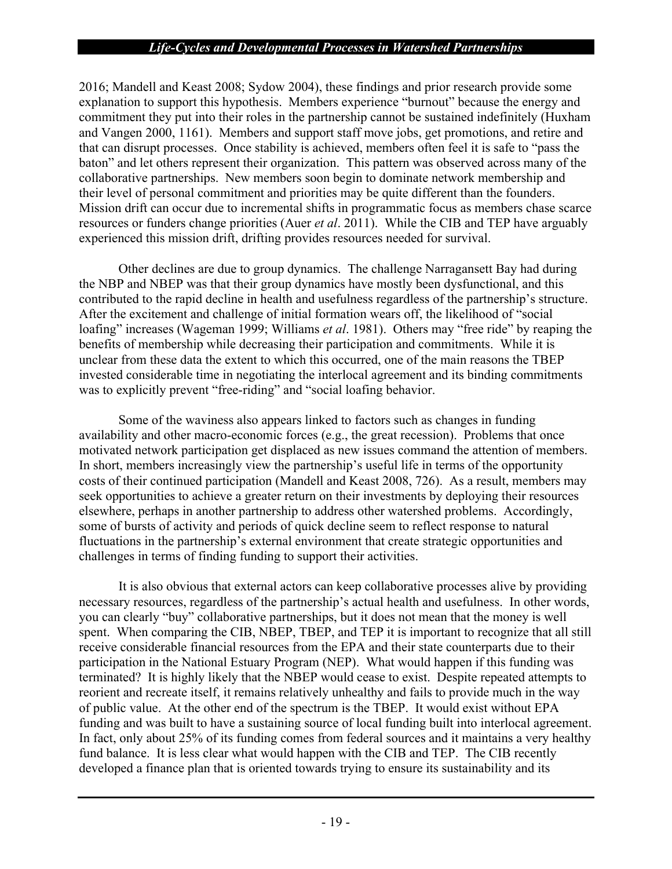2016; Mandell and Keast 2008; Sydow 2004), these findings and prior research provide some explanation to support this hypothesis. Members experience "burnout" because the energy and commitment they put into their roles in the partnership cannot be sustained indefinitely (Huxham and Vangen 2000, 1161). Members and support staff move jobs, get promotions, and retire and that can disrupt processes. Once stability is achieved, members often feel it is safe to "pass the baton" and let others represent their organization. This pattern was observed across many of the collaborative partnerships. New members soon begin to dominate network membership and their level of personal commitment and priorities may be quite different than the founders. Mission drift can occur due to incremental shifts in programmatic focus as members chase scarce resources or funders change priorities (Auer *et al*. 2011). While the CIB and TEP have arguably experienced this mission drift, drifting provides resources needed for survival.

Other declines are due to group dynamics. The challenge Narragansett Bay had during the NBP and NBEP was that their group dynamics have mostly been dysfunctional, and this contributed to the rapid decline in health and usefulness regardless of the partnership's structure. After the excitement and challenge of initial formation wears off, the likelihood of "social loafing" increases (Wageman 1999; Williams *et al*. 1981). Others may "free ride" by reaping the benefits of membership while decreasing their participation and commitments. While it is unclear from these data the extent to which this occurred, one of the main reasons the TBEP invested considerable time in negotiating the interlocal agreement and its binding commitments was to explicitly prevent "free-riding" and "social loafing behavior.

Some of the waviness also appears linked to factors such as changes in funding availability and other macro-economic forces (e.g., the great recession). Problems that once motivated network participation get displaced as new issues command the attention of members. In short, members increasingly view the partnership's useful life in terms of the opportunity costs of their continued participation (Mandell and Keast 2008, 726). As a result, members may seek opportunities to achieve a greater return on their investments by deploying their resources elsewhere, perhaps in another partnership to address other watershed problems. Accordingly, some of bursts of activity and periods of quick decline seem to reflect response to natural fluctuations in the partnership's external environment that create strategic opportunities and challenges in terms of finding funding to support their activities.

It is also obvious that external actors can keep collaborative processes alive by providing necessary resources, regardless of the partnership's actual health and usefulness. In other words, you can clearly "buy" collaborative partnerships, but it does not mean that the money is well spent. When comparing the CIB, NBEP, TBEP, and TEP it is important to recognize that all still receive considerable financial resources from the EPA and their state counterparts due to their participation in the National Estuary Program (NEP). What would happen if this funding was terminated? It is highly likely that the NBEP would cease to exist. Despite repeated attempts to reorient and recreate itself, it remains relatively unhealthy and fails to provide much in the way of public value. At the other end of the spectrum is the TBEP. It would exist without EPA funding and was built to have a sustaining source of local funding built into interlocal agreement. In fact, only about 25% of its funding comes from federal sources and it maintains a very healthy fund balance. It is less clear what would happen with the CIB and TEP. The CIB recently developed a finance plan that is oriented towards trying to ensure its sustainability and its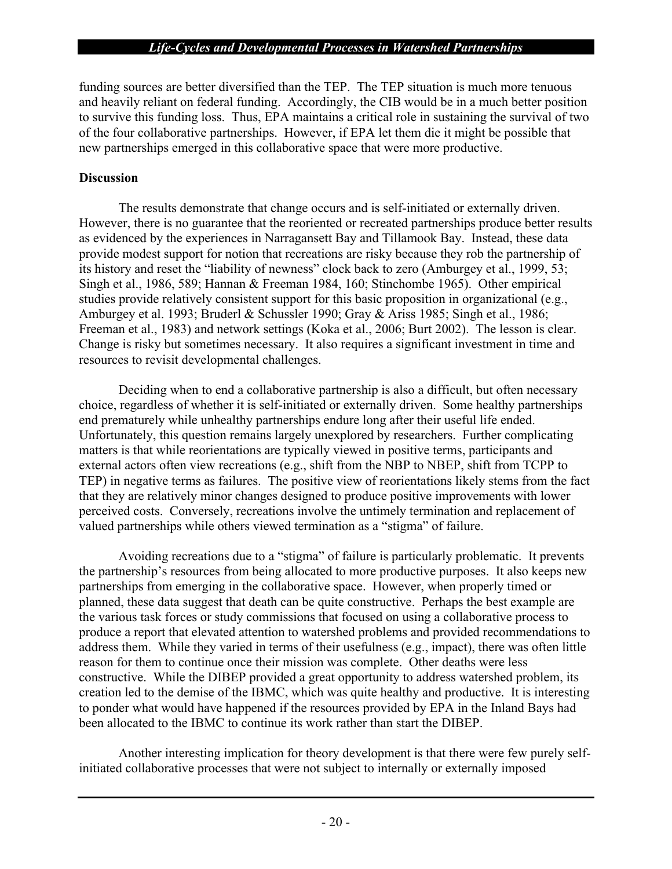funding sources are better diversified than the TEP. The TEP situation is much more tenuous and heavily reliant on federal funding. Accordingly, the CIB would be in a much better position to survive this funding loss. Thus, EPA maintains a critical role in sustaining the survival of two of the four collaborative partnerships. However, if EPA let them die it might be possible that new partnerships emerged in this collaborative space that were more productive.

#### **Discussion**

The results demonstrate that change occurs and is self-initiated or externally driven. However, there is no guarantee that the reoriented or recreated partnerships produce better results as evidenced by the experiences in Narragansett Bay and Tillamook Bay. Instead, these data provide modest support for notion that recreations are risky because they rob the partnership of its history and reset the "liability of newness" clock back to zero (Amburgey et al., 1999, 53; Singh et al., 1986, 589; Hannan & Freeman 1984, 160; Stinchombe 1965). Other empirical studies provide relatively consistent support for this basic proposition in organizational (e.g., Amburgey et al. 1993; Bruderl & Schussler 1990; Gray & Ariss 1985; Singh et al., 1986; Freeman et al., 1983) and network settings (Koka et al., 2006; Burt 2002). The lesson is clear. Change is risky but sometimes necessary. It also requires a significant investment in time and resources to revisit developmental challenges.

Deciding when to end a collaborative partnership is also a difficult, but often necessary choice, regardless of whether it is self-initiated or externally driven. Some healthy partnerships end prematurely while unhealthy partnerships endure long after their useful life ended. Unfortunately, this question remains largely unexplored by researchers. Further complicating matters is that while reorientations are typically viewed in positive terms, participants and external actors often view recreations (e.g., shift from the NBP to NBEP, shift from TCPP to TEP) in negative terms as failures. The positive view of reorientations likely stems from the fact that they are relatively minor changes designed to produce positive improvements with lower perceived costs. Conversely, recreations involve the untimely termination and replacement of valued partnerships while others viewed termination as a "stigma" of failure.

Avoiding recreations due to a "stigma" of failure is particularly problematic. It prevents the partnership's resources from being allocated to more productive purposes. It also keeps new partnerships from emerging in the collaborative space. However, when properly timed or planned, these data suggest that death can be quite constructive. Perhaps the best example are the various task forces or study commissions that focused on using a collaborative process to produce a report that elevated attention to watershed problems and provided recommendations to address them. While they varied in terms of their usefulness (e.g., impact), there was often little reason for them to continue once their mission was complete. Other deaths were less constructive. While the DIBEP provided a great opportunity to address watershed problem, its creation led to the demise of the IBMC, which was quite healthy and productive. It is interesting to ponder what would have happened if the resources provided by EPA in the Inland Bays had been allocated to the IBMC to continue its work rather than start the DIBEP.

Another interesting implication for theory development is that there were few purely selfinitiated collaborative processes that were not subject to internally or externally imposed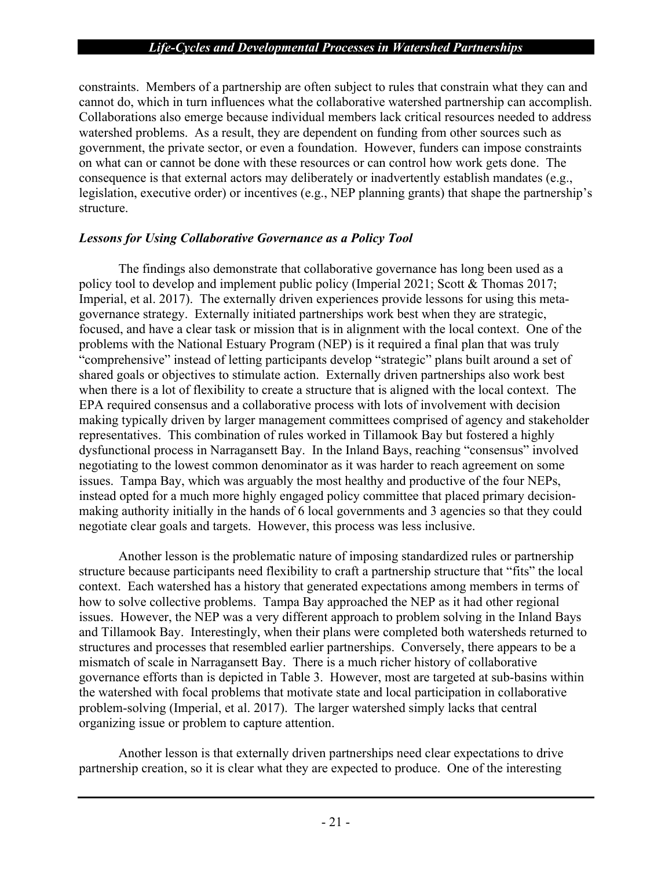constraints. Members of a partnership are often subject to rules that constrain what they can and cannot do, which in turn influences what the collaborative watershed partnership can accomplish. Collaborations also emerge because individual members lack critical resources needed to address watershed problems. As a result, they are dependent on funding from other sources such as government, the private sector, or even a foundation. However, funders can impose constraints on what can or cannot be done with these resources or can control how work gets done. The consequence is that external actors may deliberately or inadvertently establish mandates (e.g., legislation, executive order) or incentives (e.g., NEP planning grants) that shape the partnership's structure.

## *Lessons for Using Collaborative Governance as a Policy Tool*

The findings also demonstrate that collaborative governance has long been used as a policy tool to develop and implement public policy (Imperial 2021; Scott & Thomas 2017; Imperial, et al. 2017). The externally driven experiences provide lessons for using this metagovernance strategy. Externally initiated partnerships work best when they are strategic, focused, and have a clear task or mission that is in alignment with the local context. One of the problems with the National Estuary Program (NEP) is it required a final plan that was truly "comprehensive" instead of letting participants develop "strategic" plans built around a set of shared goals or objectives to stimulate action. Externally driven partnerships also work best when there is a lot of flexibility to create a structure that is aligned with the local context. The EPA required consensus and a collaborative process with lots of involvement with decision making typically driven by larger management committees comprised of agency and stakeholder representatives. This combination of rules worked in Tillamook Bay but fostered a highly dysfunctional process in Narragansett Bay. In the Inland Bays, reaching "consensus" involved negotiating to the lowest common denominator as it was harder to reach agreement on some issues. Tampa Bay, which was arguably the most healthy and productive of the four NEPs, instead opted for a much more highly engaged policy committee that placed primary decisionmaking authority initially in the hands of 6 local governments and 3 agencies so that they could negotiate clear goals and targets. However, this process was less inclusive.

Another lesson is the problematic nature of imposing standardized rules or partnership structure because participants need flexibility to craft a partnership structure that "fits" the local context. Each watershed has a history that generated expectations among members in terms of how to solve collective problems. Tampa Bay approached the NEP as it had other regional issues. However, the NEP was a very different approach to problem solving in the Inland Bays and Tillamook Bay. Interestingly, when their plans were completed both watersheds returned to structures and processes that resembled earlier partnerships. Conversely, there appears to be a mismatch of scale in Narragansett Bay. There is a much richer history of collaborative governance efforts than is depicted in Table 3. However, most are targeted at sub-basins within the watershed with focal problems that motivate state and local participation in collaborative problem-solving (Imperial, et al. 2017). The larger watershed simply lacks that central organizing issue or problem to capture attention.

Another lesson is that externally driven partnerships need clear expectations to drive partnership creation, so it is clear what they are expected to produce. One of the interesting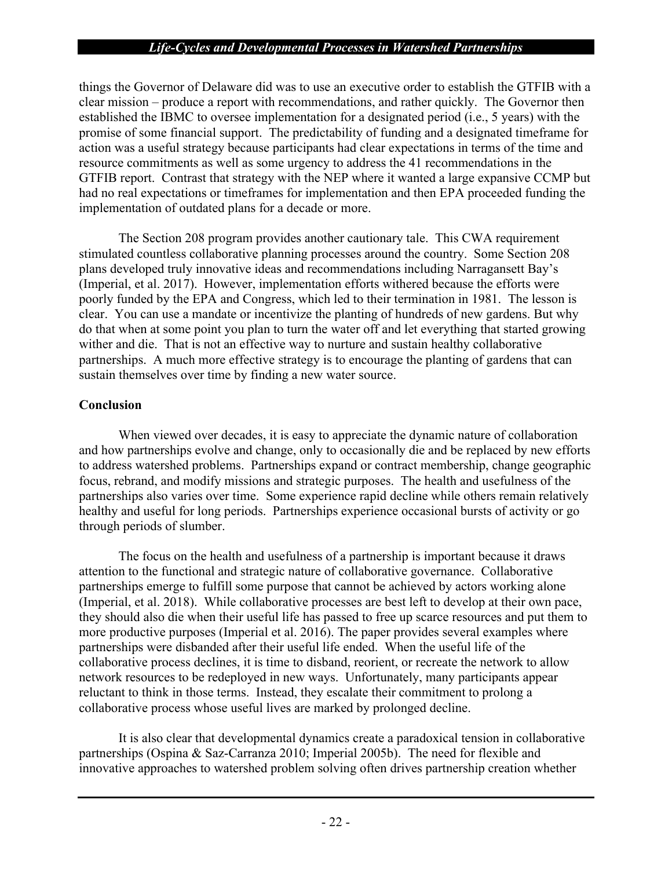things the Governor of Delaware did was to use an executive order to establish the GTFIB with a clear mission – produce a report with recommendations, and rather quickly. The Governor then established the IBMC to oversee implementation for a designated period (i.e., 5 years) with the promise of some financial support. The predictability of funding and a designated timeframe for action was a useful strategy because participants had clear expectations in terms of the time and resource commitments as well as some urgency to address the 41 recommendations in the GTFIB report. Contrast that strategy with the NEP where it wanted a large expansive CCMP but had no real expectations or timeframes for implementation and then EPA proceeded funding the implementation of outdated plans for a decade or more.

The Section 208 program provides another cautionary tale. This CWA requirement stimulated countless collaborative planning processes around the country. Some Section 208 plans developed truly innovative ideas and recommendations including Narragansett Bay's (Imperial, et al. 2017). However, implementation efforts withered because the efforts were poorly funded by the EPA and Congress, which led to their termination in 1981. The lesson is clear. You can use a mandate or incentivize the planting of hundreds of new gardens. But why do that when at some point you plan to turn the water off and let everything that started growing wither and die. That is not an effective way to nurture and sustain healthy collaborative partnerships. A much more effective strategy is to encourage the planting of gardens that can sustain themselves over time by finding a new water source.

## **Conclusion**

When viewed over decades, it is easy to appreciate the dynamic nature of collaboration and how partnerships evolve and change, only to occasionally die and be replaced by new efforts to address watershed problems. Partnerships expand or contract membership, change geographic focus, rebrand, and modify missions and strategic purposes. The health and usefulness of the partnerships also varies over time. Some experience rapid decline while others remain relatively healthy and useful for long periods. Partnerships experience occasional bursts of activity or go through periods of slumber.

The focus on the health and usefulness of a partnership is important because it draws attention to the functional and strategic nature of collaborative governance. Collaborative partnerships emerge to fulfill some purpose that cannot be achieved by actors working alone (Imperial, et al. 2018). While collaborative processes are best left to develop at their own pace, they should also die when their useful life has passed to free up scarce resources and put them to more productive purposes (Imperial et al. 2016). The paper provides several examples where partnerships were disbanded after their useful life ended. When the useful life of the collaborative process declines, it is time to disband, reorient, or recreate the network to allow network resources to be redeployed in new ways. Unfortunately, many participants appear reluctant to think in those terms. Instead, they escalate their commitment to prolong a collaborative process whose useful lives are marked by prolonged decline.

It is also clear that developmental dynamics create a paradoxical tension in collaborative partnerships (Ospina & Saz-Carranza 2010; Imperial 2005b). The need for flexible and innovative approaches to watershed problem solving often drives partnership creation whether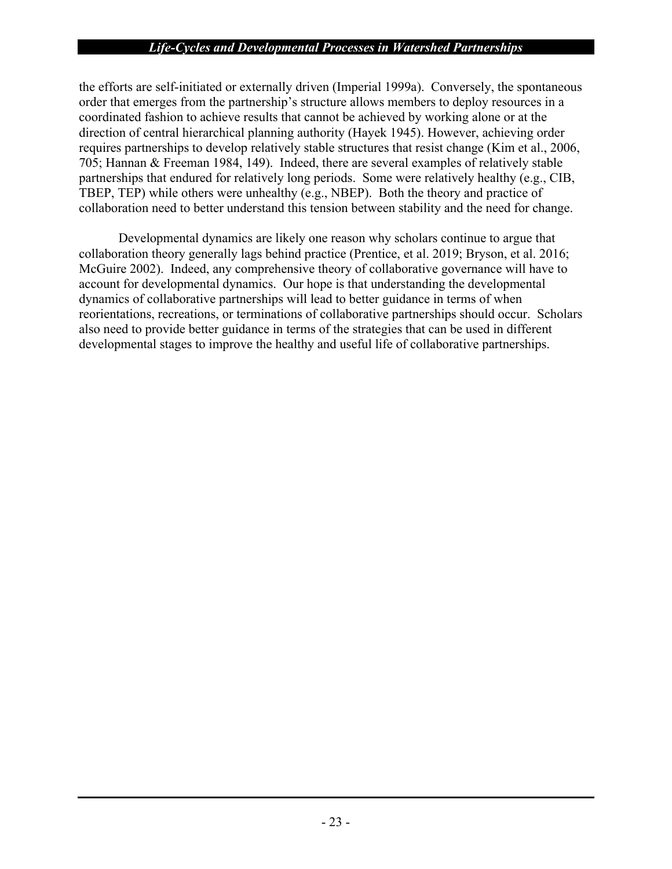the efforts are self-initiated or externally driven (Imperial 1999a). Conversely, the spontaneous order that emerges from the partnership's structure allows members to deploy resources in a coordinated fashion to achieve results that cannot be achieved by working alone or at the direction of central hierarchical planning authority (Hayek 1945). However, achieving order requires partnerships to develop relatively stable structures that resist change (Kim et al., 2006, 705; Hannan & Freeman 1984, 149). Indeed, there are several examples of relatively stable partnerships that endured for relatively long periods. Some were relatively healthy (e.g., CIB, TBEP, TEP) while others were unhealthy (e.g., NBEP). Both the theory and practice of collaboration need to better understand this tension between stability and the need for change.

Developmental dynamics are likely one reason why scholars continue to argue that collaboration theory generally lags behind practice (Prentice, et al. 2019; Bryson, et al. 2016; McGuire 2002). Indeed, any comprehensive theory of collaborative governance will have to account for developmental dynamics. Our hope is that understanding the developmental dynamics of collaborative partnerships will lead to better guidance in terms of when reorientations, recreations, or terminations of collaborative partnerships should occur. Scholars also need to provide better guidance in terms of the strategies that can be used in different developmental stages to improve the healthy and useful life of collaborative partnerships.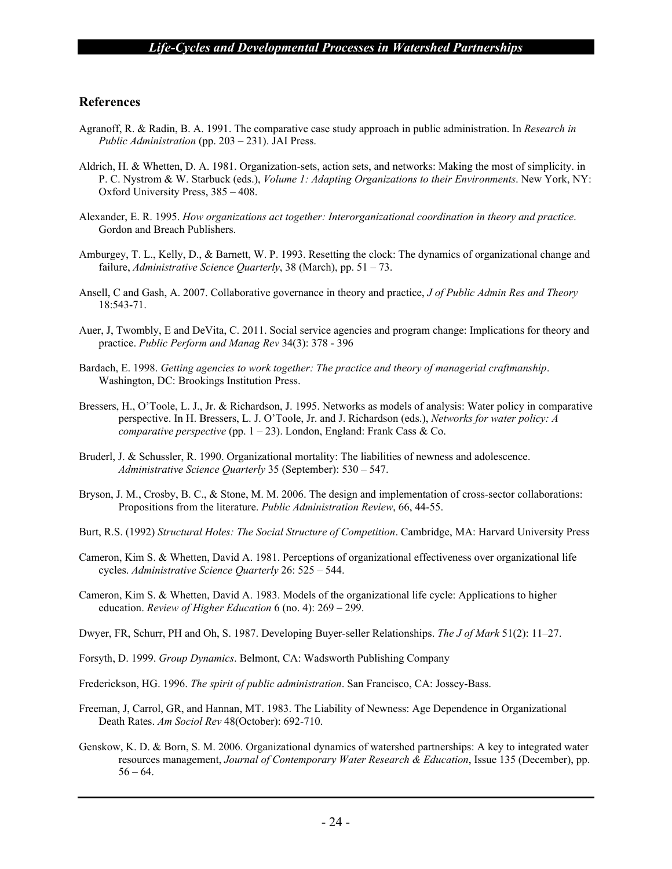#### **References**

- Agranoff, R. & Radin, B. A. 1991. The comparative case study approach in public administration. In *Research in Public Administration* (pp. 203 – 231). JAI Press.
- Aldrich, H. & Whetten, D. A. 1981. Organization-sets, action sets, and networks: Making the most of simplicity. in P. C. Nystrom & W. Starbuck (eds.), *Volume 1: Adapting Organizations to their Environments*. New York, NY: Oxford University Press, 385 – 408.
- Alexander, E. R. 1995. *How organizations act together: Interorganizational coordination in theory and practice*. Gordon and Breach Publishers.
- Amburgey, T. L., Kelly, D., & Barnett, W. P. 1993. Resetting the clock: The dynamics of organizational change and failure, *Administrative Science Quarterly*, 38 (March), pp. 51 – 73.
- Ansell, C and Gash, A. 2007. Collaborative governance in theory and practice, *J of Public Admin Res and Theory* 18:543-71.
- Auer, J, Twombly, E and DeVita, C. 2011. Social service agencies and program change: Implications for theory and practice. *Public Perform and Manag Rev* 34(3): 378 - 396
- Bardach, E. 1998. *Getting agencies to work together: The practice and theory of managerial craftmanship*. Washington, DC: Brookings Institution Press.
- Bressers, H., O'Toole, L. J., Jr. & Richardson, J. 1995. Networks as models of analysis: Water policy in comparative perspective. In H. Bressers, L. J. O'Toole, Jr. and J. Richardson (eds.), *Networks for water policy: A comparative perspective* (pp. 1 – 23). London, England: Frank Cass & Co.
- Bruderl, J. & Schussler, R. 1990. Organizational mortality: The liabilities of newness and adolescence. *Administrative Science Quarterly* 35 (September): 530 – 547.
- Bryson, J. M., Crosby, B. C., & Stone, M. M. 2006. The design and implementation of cross-sector collaborations: Propositions from the literature. *Public Administration Review*, 66, 44-55.
- Burt, R.S. (1992) *Structural Holes: The Social Structure of Competition*. Cambridge, MA: Harvard University Press
- Cameron, Kim S. & Whetten, David A. 1981. Perceptions of organizational effectiveness over organizational life cycles. *Administrative Science Quarterly* 26: 525 – 544.
- Cameron, Kim S. & Whetten, David A. 1983. Models of the organizational life cycle: Applications to higher education. *Review of Higher Education* 6 (no. 4): 269 – 299.
- Dwyer, FR, Schurr, PH and Oh, S. 1987. Developing Buyer-seller Relationships. *The J of Mark* 51(2): 11–27.
- Forsyth, D. 1999. *Group Dynamics*. Belmont, CA: Wadsworth Publishing Company
- Frederickson, HG. 1996. *The spirit of public administration*. San Francisco, CA: Jossey-Bass.
- Freeman, J, Carrol, GR, and Hannan, MT. 1983. The Liability of Newness: Age Dependence in Organizational Death Rates. *Am Sociol Rev* 48(October): 692-710.
- Genskow, K. D. & Born, S. M. 2006. Organizational dynamics of watershed partnerships: A key to integrated water resources management, *Journal of Contemporary Water Research & Education*, Issue 135 (December), pp.  $56 - 64.$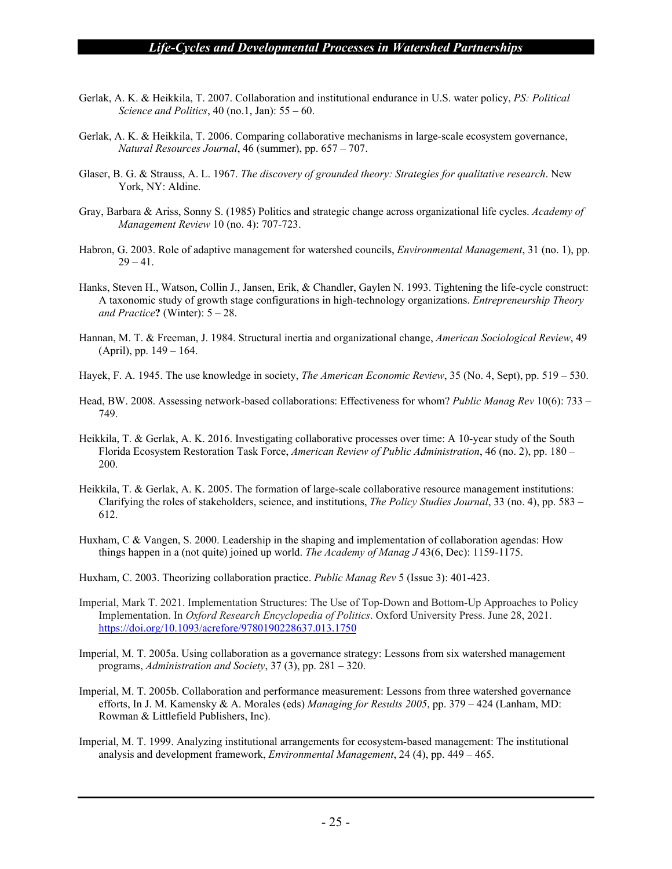- Gerlak, A. K. & Heikkila, T. 2007. Collaboration and institutional endurance in U.S. water policy, *PS: Political Science and Politics*, 40 (no.1, Jan): 55 – 60.
- Gerlak, A. K. & Heikkila, T. 2006. Comparing collaborative mechanisms in large-scale ecosystem governance, *Natural Resources Journal*, 46 (summer), pp. 657 – 707.
- Glaser, B. G. & Strauss, A. L. 1967. *The discovery of grounded theory: Strategies for qualitative research*. New York, NY: Aldine.
- Gray, Barbara & Ariss, Sonny S. (1985) Politics and strategic change across organizational life cycles. *Academy of Management Review* 10 (no. 4): 707-723.
- Habron, G. 2003. Role of adaptive management for watershed councils, *Environmental Management*, 31 (no. 1), pp.  $29 - 41.$
- Hanks, Steven H., Watson, Collin J., Jansen, Erik, & Chandler, Gaylen N. 1993. Tightening the life-cycle construct: A taxonomic study of growth stage configurations in high-technology organizations. *Entrepreneurship Theory and Practice***?** (Winter): 5 – 28.
- Hannan, M. T. & Freeman, J. 1984. Structural inertia and organizational change, *American Sociological Review*, 49 (April), pp. 149 – 164.
- Hayek, F. A. 1945. The use knowledge in society, *The American Economic Review*, 35 (No. 4, Sept), pp. 519 530.
- Head, BW. 2008. Assessing network-based collaborations: Effectiveness for whom? *Public Manag Rev* 10(6): 733 749.
- Heikkila, T. & Gerlak, A. K. 2016. Investigating collaborative processes over time: A 10-year study of the South Florida Ecosystem Restoration Task Force, *American Review of Public Administration*, 46 (no. 2), pp. 180 – 200.
- Heikkila, T. & Gerlak, A. K. 2005. The formation of large-scale collaborative resource management institutions: Clarifying the roles of stakeholders, science, and institutions, *The Policy Studies Journal*, 33 (no. 4), pp. 583 – 612.
- Huxham, C & Vangen, S. 2000. Leadership in the shaping and implementation of collaboration agendas: How things happen in a (not quite) joined up world. *The Academy of Manag J* 43(6, Dec): 1159-1175.
- Huxham, C. 2003. Theorizing collaboration practice. *Public Manag Rev* 5 (Issue 3): 401-423.
- Imperial, Mark T. 2021. Implementation Structures: The Use of Top-Down and Bottom-Up Approaches to Policy Implementation. In *Oxford Research Encyclopedia of Politics*. Oxford University Press. June 28, 2021. https://doi.org/10.1093/acrefore/9780190228637.013.1750
- Imperial, M. T. 2005a. Using collaboration as a governance strategy: Lessons from six watershed management programs, *Administration and Society*, 37 (3), pp. 281 – 320.
- Imperial, M. T. 2005b. Collaboration and performance measurement: Lessons from three watershed governance efforts, In J. M. Kamensky & A. Morales (eds) *Managing for Results 2005*, pp. 379 – 424 (Lanham, MD: Rowman & Littlefield Publishers, Inc).
- Imperial, M. T. 1999. Analyzing institutional arrangements for ecosystem-based management: The institutional analysis and development framework, *Environmental Management*, 24 (4), pp. 449 – 465.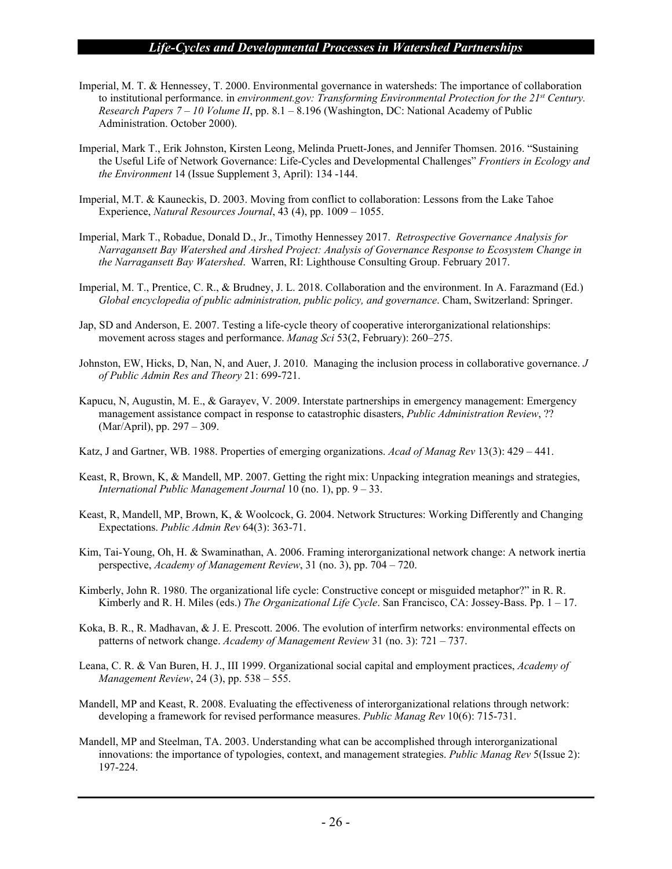- Imperial, M. T. & Hennessey, T. 2000. Environmental governance in watersheds: The importance of collaboration to institutional performance. in *environment.gov: Transforming Environmental Protection for the 21st Century. Research Papers 7 – 10 Volume II*, pp. 8.1 – 8.196 (Washington, DC: National Academy of Public Administration. October 2000).
- Imperial, Mark T., Erik Johnston, Kirsten Leong, Melinda Pruett-Jones, and Jennifer Thomsen. 2016. "Sustaining the Useful Life of Network Governance: Life-Cycles and Developmental Challenges" *Frontiers in Ecology and the Environment* 14 (Issue Supplement 3, April): 134 -144.
- Imperial, M.T. & Kauneckis, D. 2003. Moving from conflict to collaboration: Lessons from the Lake Tahoe Experience, *Natural Resources Journal*, 43 (4), pp. 1009 – 1055.
- Imperial, Mark T., Robadue, Donald D., Jr., Timothy Hennessey 2017. *Retrospective Governance Analysis for Narragansett Bay Watershed and Airshed Project: Analysis of Governance Response to Ecosystem Change in the Narragansett Bay Watershed*. Warren, RI: Lighthouse Consulting Group. February 2017.
- Imperial, M. T., Prentice, C. R., & Brudney, J. L. 2018. Collaboration and the environment. In A. Farazmand (Ed.) *Global encyclopedia of public administration, public policy, and governance*. Cham, Switzerland: Springer.
- Jap, SD and Anderson, E. 2007. Testing a life-cycle theory of cooperative interorganizational relationships: movement across stages and performance. *Manag Sci* 53(2, February): 260–275.
- Johnston, EW, Hicks, D, Nan, N, and Auer, J. 2010. Managing the inclusion process in collaborative governance. *J of Public Admin Res and Theory* 21: 699-721.
- Kapucu, N, Augustin, M. E., & Garayev, V. 2009. Interstate partnerships in emergency management: Emergency management assistance compact in response to catastrophic disasters, *Public Administration Review*, ?? (Mar/April), pp. 297 – 309.
- Katz, J and Gartner, WB. 1988. Properties of emerging organizations. *Acad of Manag Rev* 13(3): 429 441.
- Keast, R, Brown, K, & Mandell, MP. 2007. Getting the right mix: Unpacking integration meanings and strategies, *International Public Management Journal* 10 (no. 1), pp. 9 – 33.
- Keast, R, Mandell, MP, Brown, K, & Woolcock, G. 2004. Network Structures: Working Differently and Changing Expectations. *Public Admin Rev* 64(3): 363-71.
- Kim, Tai-Young, Oh, H. & Swaminathan, A. 2006. Framing interorganizational network change: A network inertia perspective, *Academy of Management Review*, 31 (no. 3), pp. 704 – 720.
- Kimberly, John R. 1980. The organizational life cycle: Constructive concept or misguided metaphor?" in R. R. Kimberly and R. H. Miles (eds.) *The Organizational Life Cycle*. San Francisco, CA: Jossey-Bass. Pp. 1 – 17.
- Koka, B. R., R. Madhavan, & J. E. Prescott. 2006. The evolution of interfirm networks: environmental effects on patterns of network change. *Academy of Management Review* 31 (no. 3): 721 – 737.
- Leana, C. R. & Van Buren, H. J., III 1999. Organizational social capital and employment practices, *Academy of Management Review*, 24 (3), pp. 538 – 555.
- Mandell, MP and Keast, R. 2008. Evaluating the effectiveness of interorganizational relations through network: developing a framework for revised performance measures. *Public Manag Rev* 10(6): 715-731.
- Mandell, MP and Steelman, TA. 2003. Understanding what can be accomplished through interorganizational innovations: the importance of typologies, context, and management strategies. *Public Manag Rev* 5(Issue 2): 197-224.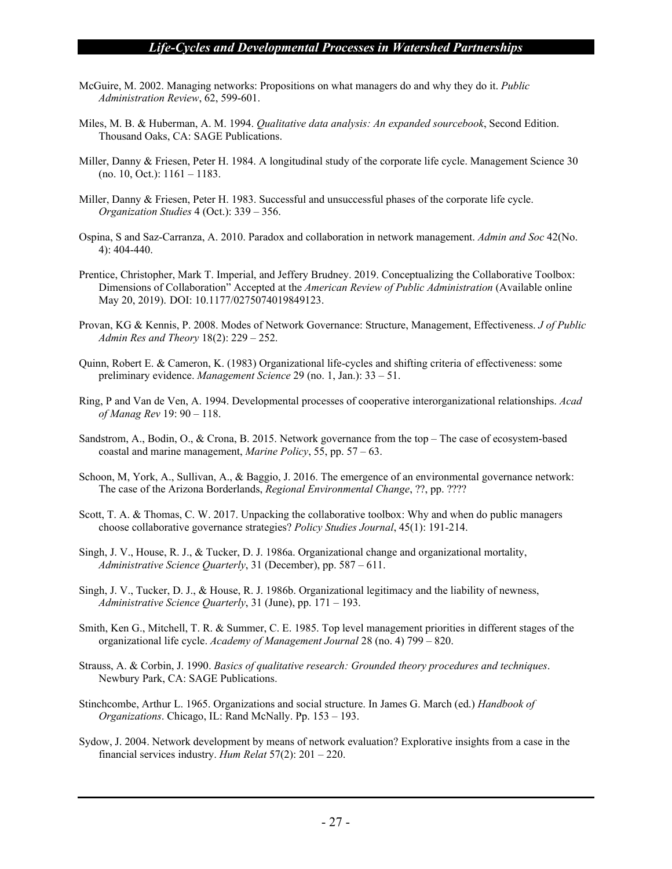- McGuire, M. 2002. Managing networks: Propositions on what managers do and why they do it. *Public Administration Review*, 62, 599-601.
- Miles, M. B. & Huberman, A. M. 1994. *Qualitative data analysis: An expanded sourcebook*, Second Edition. Thousand Oaks, CA: SAGE Publications.
- Miller, Danny & Friesen, Peter H. 1984. A longitudinal study of the corporate life cycle. Management Science 30 (no. 10, Oct.): 1161 – 1183.
- Miller, Danny & Friesen, Peter H. 1983. Successful and unsuccessful phases of the corporate life cycle. *Organization Studies* 4 (Oct.): 339 – 356.
- Ospina, S and Saz-Carranza, A. 2010. Paradox and collaboration in network management. *Admin and Soc* 42(No. 4): 404-440.
- Prentice, Christopher, Mark T. Imperial, and Jeffery Brudney. 2019. Conceptualizing the Collaborative Toolbox: Dimensions of Collaboration" Accepted at the *American Review of Public Administration* (Available online May 20, 2019). DOI: 10.1177/0275074019849123.
- Provan, KG & Kennis, P. 2008. Modes of Network Governance: Structure, Management, Effectiveness. *J of Public Admin Res and Theory* 18(2): 229 – 252.
- Quinn, Robert E. & Cameron, K. (1983) Organizational life-cycles and shifting criteria of effectiveness: some preliminary evidence. *Management Science* 29 (no. 1, Jan.): 33 – 51.
- Ring, P and Van de Ven, A. 1994. Developmental processes of cooperative interorganizational relationships. *Acad of Manag Rev* 19: 90 – 118.
- Sandstrom, A., Bodin, O., & Crona, B. 2015. Network governance from the top The case of ecosystem-based coastal and marine management, *Marine Policy*, 55, pp. 57 – 63.
- Schoon, M, York, A., Sullivan, A., & Baggio, J. 2016. The emergence of an environmental governance network: The case of the Arizona Borderlands, *Regional Environmental Change*, ??, pp. ????
- Scott, T. A. & Thomas, C. W. 2017. Unpacking the collaborative toolbox: Why and when do public managers choose collaborative governance strategies? *Policy Studies Journal*, 45(1): 191-214.
- Singh, J. V., House, R. J., & Tucker, D. J. 1986a. Organizational change and organizational mortality, *Administrative Science Quarterly*, 31 (December), pp. 587 – 611.
- Singh, J. V., Tucker, D. J., & House, R. J. 1986b. Organizational legitimacy and the liability of newness, *Administrative Science Quarterly*, 31 (June), pp. 171 – 193.
- Smith, Ken G., Mitchell, T. R. & Summer, C. E. 1985. Top level management priorities in different stages of the organizational life cycle. *Academy of Management Journal* 28 (no. 4) 799 – 820.
- Strauss, A. & Corbin, J. 1990. *Basics of qualitative research: Grounded theory procedures and techniques*. Newbury Park, CA: SAGE Publications.
- Stinchcombe, Arthur L. 1965. Organizations and social structure. In James G. March (ed.) *Handbook of Organizations*. Chicago, IL: Rand McNally. Pp. 153 – 193.
- Sydow, J. 2004. Network development by means of network evaluation? Explorative insights from a case in the financial services industry. *Hum Relat* 57(2): 201 – 220.